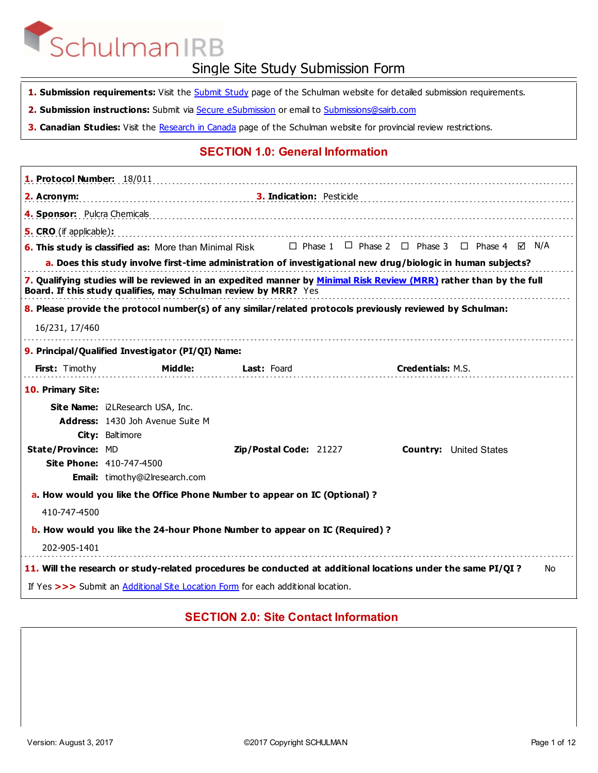- 1. Submission requirements: Visit the **Submit Study** page of the Schulman website for detailed submission requirements.
- 2. Submission instructions: Submit via **Secure eSubmission** or email to **Submissions@sairb.com**
- **3. Canadian Studies:** Visit the Research in Canada page of the Schulman website for provincial review restrictions.

### **SECTION 1.0: General Information**

| 1. Protocol Number: 18/011     |                                                                                                                                                                                       |                          |                          |                                                                             |
|--------------------------------|---------------------------------------------------------------------------------------------------------------------------------------------------------------------------------------|--------------------------|--------------------------|-----------------------------------------------------------------------------|
| 2. Acronym:                    |                                                                                                                                                                                       | 3. Indication: Pesticide |                          |                                                                             |
| 4. Sponsor: Pulcra Chemicals   |                                                                                                                                                                                       |                          |                          |                                                                             |
| <b>5. CRO</b> (if applicable): |                                                                                                                                                                                       |                          |                          |                                                                             |
|                                | <b>6. This study is classified as:</b> More than Minimal Risk                                                                                                                         |                          |                          | $\Box$ Phase 1 $\Box$ Phase 2 $\Box$ Phase 3 $\Box$ Phase 4 $\boxtimes$ N/A |
|                                | a. Does this study involve first-time administration of investigational new drug/biologic in human subjects?                                                                          |                          |                          |                                                                             |
|                                | 7. Qualifying studies will be reviewed in an expedited manner by Minimal Risk Review (MRR) rather than by the full<br>Board. If this study qualifies, may Schulman review by MRR? Yes |                          |                          |                                                                             |
|                                | 8. Please provide the protocol number(s) of any similar/related protocols previously reviewed by Schulman:                                                                            |                          |                          |                                                                             |
| 16/231, 17/460                 |                                                                                                                                                                                       |                          |                          |                                                                             |
|                                | 9. Principal/Qualified Investigator (PI/QI) Name:                                                                                                                                     |                          |                          |                                                                             |
| <b>First:</b> Timothy          | Middle:                                                                                                                                                                               | <b>Last:</b> Foard       | <b>Credentials: M.S.</b> |                                                                             |
| 10. Primary Site:              |                                                                                                                                                                                       |                          |                          |                                                                             |
|                                | Site Name: i2LResearch USA, Inc.                                                                                                                                                      |                          |                          |                                                                             |
|                                | Address: 1430 Joh Avenue Suite M                                                                                                                                                      |                          |                          |                                                                             |
|                                | City: Baltimore                                                                                                                                                                       |                          |                          |                                                                             |
| <b>State/Province: MD</b>      |                                                                                                                                                                                       | Zip/Postal Code: 21227   |                          | <b>Country:</b> United States                                               |
|                                | <b>Site Phone: 410-747-4500</b>                                                                                                                                                       |                          |                          |                                                                             |
|                                | Email: timothy@i2lresearch.com                                                                                                                                                        |                          |                          |                                                                             |
|                                | a. How would you like the Office Phone Number to appear on IC (Optional)?                                                                                                             |                          |                          |                                                                             |
| 410-747-4500                   |                                                                                                                                                                                       |                          |                          |                                                                             |
|                                | <b>b.</b> How would you like the 24-hour Phone Number to appear on IC (Required)?                                                                                                     |                          |                          |                                                                             |
| 202-905-1401                   |                                                                                                                                                                                       |                          |                          |                                                                             |
|                                | 11. Will the research or study-related procedures be conducted at additional locations under the same PI/QI?                                                                          |                          |                          | No                                                                          |
|                                | If Yes >>> Submit an Additional Site Location Form for each additional location.                                                                                                      |                          |                          |                                                                             |

#### **SECTION 2.0: Site Contact Information**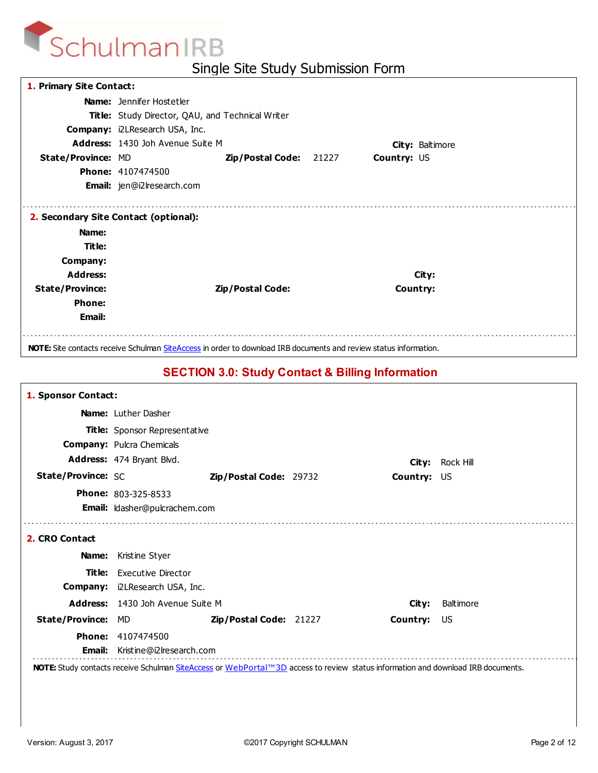| 1. Primary Site Contact:                       |                                                                                                                          |                                                  |       |             |                 |  |  |
|------------------------------------------------|--------------------------------------------------------------------------------------------------------------------------|--------------------------------------------------|-------|-------------|-----------------|--|--|
|                                                | <b>Name:</b> Jennifer Hostetler                                                                                          |                                                  |       |             |                 |  |  |
|                                                |                                                                                                                          | Title: Study Director, QAU, and Technical Writer |       |             |                 |  |  |
|                                                | <b>Company: i2LResearch USA, Inc.</b>                                                                                    |                                                  |       |             |                 |  |  |
|                                                | <b>Address: 1430 Joh Avenue Suite M</b>                                                                                  |                                                  |       |             | City: Baltimore |  |  |
| <b>State/Province: MD</b>                      |                                                                                                                          | Zip/Postal Code:                                 | 21227 | Country: US |                 |  |  |
|                                                | <b>Phone: 4107474500</b>                                                                                                 |                                                  |       |             |                 |  |  |
|                                                | <b>Email:</b> jen@i2lresearch.com                                                                                        |                                                  |       |             |                 |  |  |
| Name:<br>Title:<br>Company:<br><b>Address:</b> | 2. Secondary Site Contact (optional):                                                                                    |                                                  |       |             | City:           |  |  |
| <b>State/Province:</b>                         |                                                                                                                          | Zip/Postal Code:                                 |       | Country:    |                 |  |  |
| <b>Phone:</b>                                  |                                                                                                                          |                                                  |       |             |                 |  |  |
| <b>Email:</b>                                  |                                                                                                                          |                                                  |       |             |                 |  |  |
|                                                | <b>NOTE:</b> Site contacts receive Schulman SiteAccess in order to download IRB documents and review status information. |                                                  |       |             |                 |  |  |

## **SECTION 3.0: Study Contact & Billing Information**

| 1. Sponsor Contact:       |                                                                                                                                  |                        |             |                  |
|---------------------------|----------------------------------------------------------------------------------------------------------------------------------|------------------------|-------------|------------------|
|                           | <b>Name:</b> Luther Dasher                                                                                                       |                        |             |                  |
|                           | Title: Sponsor Representative                                                                                                    |                        |             |                  |
|                           | <b>Company: Pulcra Chemicals</b>                                                                                                 |                        |             |                  |
|                           | Address: 474 Bryant Blvd.                                                                                                        |                        | City:       | Rock Hill        |
| <b>State/Province: SC</b> |                                                                                                                                  | Zip/Postal Code: 29732 | Country: US |                  |
|                           | <b>Phone: 803-325-8533</b>                                                                                                       |                        |             |                  |
|                           | Email: Idasher@pulcrachem.com                                                                                                    |                        |             |                  |
|                           |                                                                                                                                  |                        |             |                  |
| 2. CRO Contact            |                                                                                                                                  |                        |             |                  |
| Name:                     | Kristine Styer                                                                                                                   |                        |             |                  |
|                           | Title: Executive Director                                                                                                        |                        |             |                  |
|                           | <b>Company:</b> i2LResearch USA, Inc.                                                                                            |                        |             |                  |
|                           | Address: 1430 Joh Avenue Suite M                                                                                                 |                        | City:       | <b>Baltimore</b> |
| <b>State/Province:</b>    | MD                                                                                                                               | Zip/Postal Code: 21227 | Country:    | US.              |
|                           | <b>Phone: 4107474500</b>                                                                                                         |                        |             |                  |
| <b>Email:</b>             | Kristine@i2lresearch.com                                                                                                         |                        |             |                  |
|                           | NOTE: Study contacts receive Schulman SiteAccess or WebPortal™3D access to review status information and download IRB documents. |                        |             |                  |
|                           |                                                                                                                                  |                        |             |                  |
|                           |                                                                                                                                  |                        |             |                  |
|                           |                                                                                                                                  |                        |             |                  |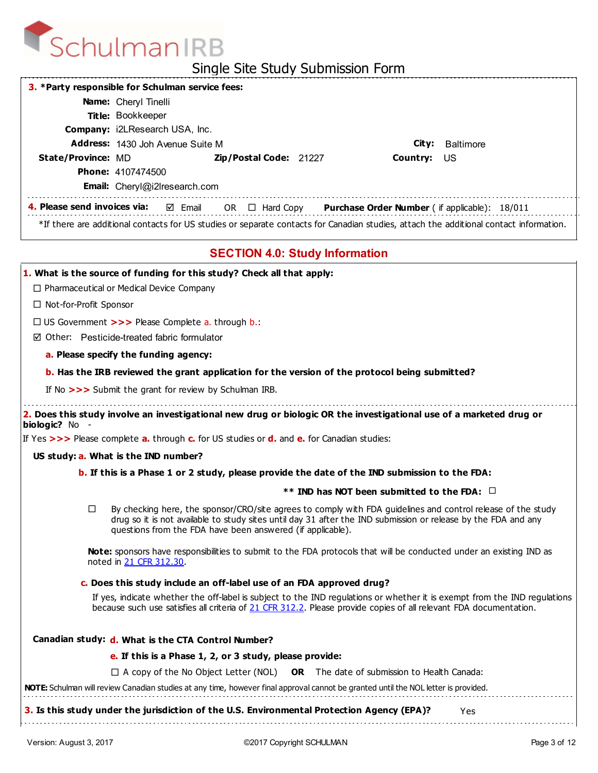

| Single Site Study Submission Form                                                                                                                                                                                                                                                                 |  |  |  |  |  |  |
|---------------------------------------------------------------------------------------------------------------------------------------------------------------------------------------------------------------------------------------------------------------------------------------------------|--|--|--|--|--|--|
| 3. * Party responsible for Schulman service fees:                                                                                                                                                                                                                                                 |  |  |  |  |  |  |
| Name: Cheryl Tinelli                                                                                                                                                                                                                                                                              |  |  |  |  |  |  |
| Title: Bookkeeper                                                                                                                                                                                                                                                                                 |  |  |  |  |  |  |
| Company: i2LResearch USA, Inc.                                                                                                                                                                                                                                                                    |  |  |  |  |  |  |
| Address: 1430 Joh Avenue Suite M<br><b>Baltimore</b><br>City:                                                                                                                                                                                                                                     |  |  |  |  |  |  |
| State/Province: MD<br>Country:<br><b>Zip/Postal Code: 21227</b><br>US<br><b>Phone: 4107474500</b>                                                                                                                                                                                                 |  |  |  |  |  |  |
| Email: Cheryl@i2Iresearch.com                                                                                                                                                                                                                                                                     |  |  |  |  |  |  |
| 4. Please send invoices via:<br>Purchase Order Number ( if applicable): 18/011<br>⊠ Email<br>OR $\Box$ Hard Copy                                                                                                                                                                                  |  |  |  |  |  |  |
| *If there are additional contacts for US studies or separate contacts for Canadian studies, attach the additional contact information.                                                                                                                                                            |  |  |  |  |  |  |
| <b>SECTION 4.0: Study Information</b>                                                                                                                                                                                                                                                             |  |  |  |  |  |  |
| 1. What is the source of funding for this study? Check all that apply:                                                                                                                                                                                                                            |  |  |  |  |  |  |
| $\Box$ Pharmaceutical or Medical Device Company                                                                                                                                                                                                                                                   |  |  |  |  |  |  |
| $\Box$ Not-for-Profit Sponsor                                                                                                                                                                                                                                                                     |  |  |  |  |  |  |
| $\Box$ US Government >>> Please Complete a. through b.:                                                                                                                                                                                                                                           |  |  |  |  |  |  |
| ☑ Other: Pesticide-treated fabric formulator                                                                                                                                                                                                                                                      |  |  |  |  |  |  |
| a. Please specify the funding agency:                                                                                                                                                                                                                                                             |  |  |  |  |  |  |
| b. Has the IRB reviewed the grant application for the version of the protocol being submitted?                                                                                                                                                                                                    |  |  |  |  |  |  |
| If No >>> Submit the grant for review by Schulman IRB.                                                                                                                                                                                                                                            |  |  |  |  |  |  |
| 2. Does this study involve an investigational new drug or biologic OR the investigational use of a marketed drug or<br>biologic? No                                                                                                                                                               |  |  |  |  |  |  |
| If Yes $>>$ Please complete a. through c. for US studies or d. and e. for Canadian studies:                                                                                                                                                                                                       |  |  |  |  |  |  |
| US study: a. What is the IND number?                                                                                                                                                                                                                                                              |  |  |  |  |  |  |
| b. If this is a Phase 1 or 2 study, please provide the date of the IND submission to the FDA:                                                                                                                                                                                                     |  |  |  |  |  |  |
| ** IND has NOT been submitted to the FDA: $\Box$                                                                                                                                                                                                                                                  |  |  |  |  |  |  |
| By checking here, the sponsor/CRO/site agrees to comply with FDA guidelines and control release of the study<br>□<br>drug so it is not available to study sites until day 31 after the IND submission or release by the FDA and any<br>questions from the FDA have been answered (if applicable). |  |  |  |  |  |  |
| Note: sponsors have responsibilities to submit to the FDA protocols that will be conducted under an existing IND as<br>noted in 21 CFR 312.30.                                                                                                                                                    |  |  |  |  |  |  |
| c. Does this study include an off-label use of an FDA approved drug?                                                                                                                                                                                                                              |  |  |  |  |  |  |
| If yes, indicate whether the off-label is subject to the IND regulations or whether it is exempt from the IND regulations<br>because such use satisfies all criteria of 21 CFR 312.2. Please provide copies of all relevant FDA documentation.                                                    |  |  |  |  |  |  |
|                                                                                                                                                                                                                                                                                                   |  |  |  |  |  |  |

| anagian study: d. What is the CTA Control Number? |  |  |  |  |
|---------------------------------------------------|--|--|--|--|
|                                                   |  |  |  |  |

**e. If this is a Phase 1, 2, or 3 study, please provide:**

□ A copy of the No Object Letter (NOL) OR The date of submission to Health Canada:

**NOTE:** Schulman will review Canadian studies at any time, however final approval cannot be granted until the NOL letter is provided.

**3. Is this study under the jurisdiction of the U.S. Environmental Protection Agency (EPA)?** Yes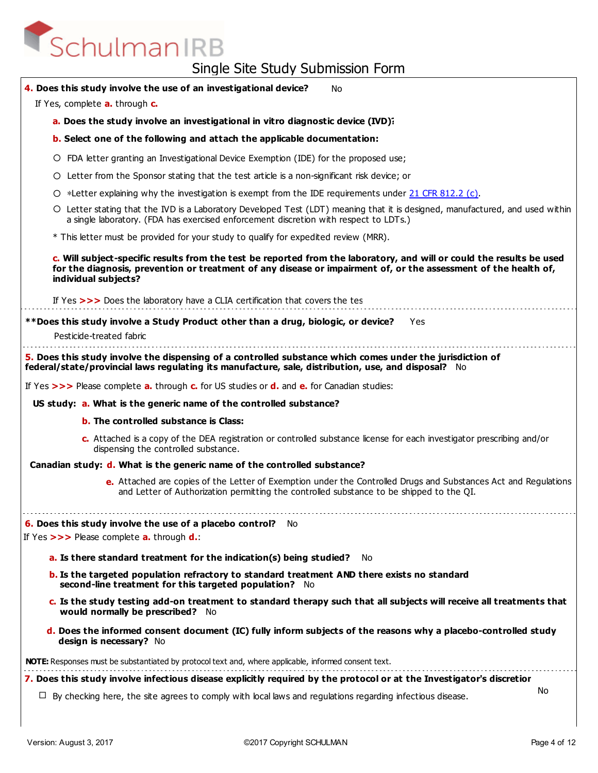| 4. Does this study involve the use of an investigational device?<br><b>No</b>                                                                                                                                                                                    |     |
|------------------------------------------------------------------------------------------------------------------------------------------------------------------------------------------------------------------------------------------------------------------|-----|
| If Yes, complete a. through c.                                                                                                                                                                                                                                   |     |
| a. Does the study involve an investigational in vitro diagnostic device (IVD)?                                                                                                                                                                                   |     |
| <b>b.</b> Select one of the following and attach the applicable documentation:                                                                                                                                                                                   |     |
| O FDA letter granting an Investigational Device Exemption (IDE) for the proposed use;                                                                                                                                                                            |     |
| O Letter from the Sponsor stating that the test article is a non-significant risk device; or                                                                                                                                                                     |     |
| O *Letter explaining why the investigation is exempt from the IDE requirements under 21 CFR 812.2 (c).                                                                                                                                                           |     |
| O Letter stating that the IVD is a Laboratory Developed Test (LDT) meaning that it is designed, manufactured, and used within<br>a single laboratory. (FDA has exercised enforcement discretion with respect to LDTs.)                                           |     |
| * This letter must be provided for your study to qualify for expedited review (MRR).                                                                                                                                                                             |     |
| c. Will subject-specific results from the test be reported from the laboratory, and will or could the results be used<br>for the diagnosis, prevention or treatment of any disease or impairment of, or the assessment of the health of,<br>individual subjects? |     |
| If Yes >>> Does the laboratory have a CLIA certification that covers the tes                                                                                                                                                                                     |     |
| **Does this study involve a Study Product other than a drug, biologic, or device?<br>Yes.                                                                                                                                                                        |     |
| Pesticide-treated fabric                                                                                                                                                                                                                                         |     |
| 5. Does this study involve the dispensing of a controlled substance which comes under the jurisdiction of<br>federal/state/provincial laws regulating its manufacture, sale, distribution, use, and disposal? No                                                 |     |
| If Yes $>>$ Please complete <b>a.</b> through <b>c.</b> for US studies or <b>d.</b> and <b>e.</b> for Canadian studies:                                                                                                                                          |     |
| US study: a. What is the generic name of the controlled substance?                                                                                                                                                                                               |     |
| <b>b.</b> The controlled substance is Class:                                                                                                                                                                                                                     |     |
| c. Attached is a copy of the DEA registration or controlled substance license for each investigator prescribing and/or<br>dispensing the controlled substance.                                                                                                   |     |
| Canadian study: d. What is the generic name of the controlled substance?                                                                                                                                                                                         |     |
| e. Attached are copies of the Letter of Exemption under the Controlled Drugs and Substances Act and Regulations<br>and Letter of Authorization permitting the controlled substance to be shipped to the QI.                                                      |     |
| <b>6. Does this study involve the use of a placebo control?</b> No                                                                                                                                                                                               |     |
| If Yes $>>$ Please complete <b>a.</b> through $d$ .:                                                                                                                                                                                                             |     |
| a. Is there standard treatment for the indication(s) being studied?<br>No.                                                                                                                                                                                       |     |
| <b>b.</b> Is the targeted population refractory to standard treatment AND there exists no standard<br>second-line treatment for this targeted population? No                                                                                                     |     |
| c. Is the study testing add-on treatment to standard therapy such that all subjects will receive all treatments that<br>would normally be prescribed? No                                                                                                         |     |
| d. Does the informed consent document (IC) fully inform subjects of the reasons why a placebo-controlled study<br>design is necessary? No                                                                                                                        |     |
| <b>NOTE:</b> Responses must be substantiated by protocol text and, where applicable, informed consent text.                                                                                                                                                      |     |
| 7. Does this study involve infectious disease explicitly required by the protocol or at the Investigator's discretior                                                                                                                                            |     |
| $\Box$ By checking here, the site agrees to comply with local laws and regulations regarding infectious disease.                                                                                                                                                 | No. |
|                                                                                                                                                                                                                                                                  |     |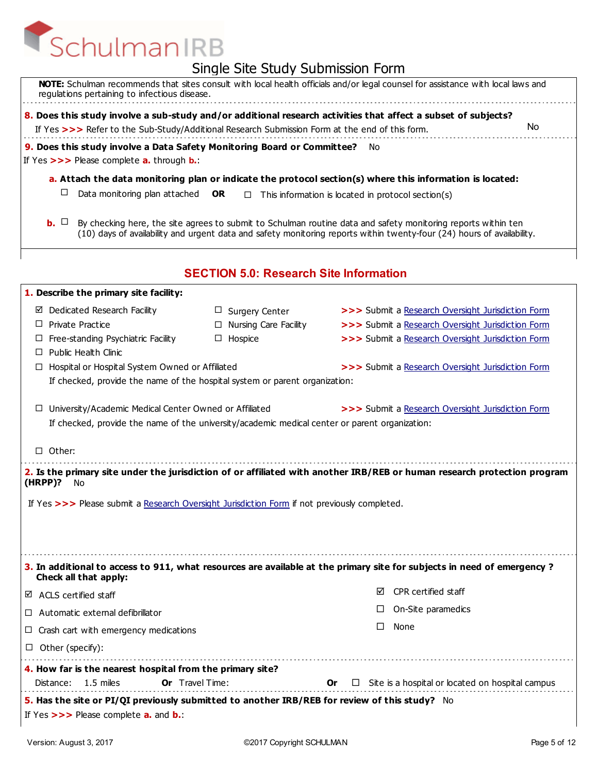|                                                                                                                                                               | ווויוס ו ווסוכפוווווסטר פוסטר סאוכ            |                                                                                                                                                                                                                                         |
|---------------------------------------------------------------------------------------------------------------------------------------------------------------|-----------------------------------------------|-----------------------------------------------------------------------------------------------------------------------------------------------------------------------------------------------------------------------------------------|
| regulations pertaining to infectious disease.                                                                                                                 |                                               | NOTE: Schulman recommends that sites consult with local health officials and/or legal counsel for assistance with local laws and                                                                                                        |
|                                                                                                                                                               |                                               | 8. Does this study involve a sub-study and/or additional research activities that affect a subset of subjects?                                                                                                                          |
| If Yes >>> Refer to the Sub-Study/Additional Research Submission Form at the end of this form.                                                                |                                               | No.                                                                                                                                                                                                                                     |
| 9. Does this study involve a Data Safety Monitoring Board or Committee? No                                                                                    |                                               |                                                                                                                                                                                                                                         |
| If Yes >>> Please complete a. through b.:                                                                                                                     |                                               |                                                                                                                                                                                                                                         |
|                                                                                                                                                               |                                               | a. Attach the data monitoring plan or indicate the protocol section(s) where this information is located:                                                                                                                               |
| ப<br>Data monitoring plan attached                                                                                                                            | <b>OR</b>                                     | $\Box$ This information is located in protocol section(s)                                                                                                                                                                               |
| $\mathbf{b}$ . $\Box$                                                                                                                                         |                                               | By checking here, the site agrees to submit to Schulman routine data and safety monitoring reports within ten<br>(10) days of availability and urgent data and safety monitoring reports within twenty-four (24) hours of availability. |
|                                                                                                                                                               | <b>SECTION 5.0: Research Site Information</b> |                                                                                                                                                                                                                                         |
| 1. Describe the primary site facility:                                                                                                                        |                                               |                                                                                                                                                                                                                                         |
| Dedicated Research Facility<br>⊻                                                                                                                              | $\Box$ Surgery Center                         | >>> Submit a Research Oversight Jurisdiction Form                                                                                                                                                                                       |
| $\Box$ Private Practice                                                                                                                                       | □ Nursing Care Facility                       | >>> Submit a Research Oversight Jurisdiction Form                                                                                                                                                                                       |
| Free-standing Psychiatric Facility<br>ப                                                                                                                       | $\Box$ Hospice                                | >>> Submit a Research Oversight Jurisdiction Form                                                                                                                                                                                       |
| $\Box$ Public Health Clinic                                                                                                                                   |                                               |                                                                                                                                                                                                                                         |
| Hospital or Hospital System Owned or Affiliated<br>ш                                                                                                          |                                               | >>> Submit a Research Oversight Jurisdiction Form                                                                                                                                                                                       |
| If checked, provide the name of the hospital system or parent organization:                                                                                   |                                               |                                                                                                                                                                                                                                         |
| University/Academic Medical Center Owned or Affiliated<br>ப<br>If checked, provide the name of the university/academic medical center or parent organization: |                                               | >>> Submit a Research Oversight Jurisdiction Form                                                                                                                                                                                       |
| $\Box$ Other:                                                                                                                                                 |                                               |                                                                                                                                                                                                                                         |
| $(HRPP)$ ?<br>No                                                                                                                                              |                                               | 2. Is the primary site under the jurisdiction of or affiliated with another IRB/REB or human research protection program                                                                                                                |
| If Yes >>> Please submit a Research Oversight Jurisdiction Form if not previously completed.                                                                  |                                               |                                                                                                                                                                                                                                         |
| Check all that apply:                                                                                                                                         |                                               | 3. In additional to access to 911, what resources are available at the primary site for subjects in need of emergency?                                                                                                                  |
| $\boxtimes$ ACLS certified staff                                                                                                                              |                                               | CPR certified staff<br>☑                                                                                                                                                                                                                |
| $\Box$ Automatic external defibrillator                                                                                                                       |                                               | On-Site paramedics                                                                                                                                                                                                                      |
| $\Box$ Crash cart with emergency medications                                                                                                                  |                                               | None<br>П                                                                                                                                                                                                                               |
|                                                                                                                                                               |                                               |                                                                                                                                                                                                                                         |
| $\Box$ Other (specify):                                                                                                                                       |                                               |                                                                                                                                                                                                                                         |
| 4. How far is the nearest hospital from the primary site?                                                                                                     |                                               |                                                                                                                                                                                                                                         |
| $1.5$ miles<br><b>Or</b> Travel Time:<br>Distance:                                                                                                            |                                               | Site is a hospital or located on hospital campus<br>0r<br>ப                                                                                                                                                                             |
| 5. Has the site or PI/QI previously submitted to another IRB/REB for review of this study? No                                                                 |                                               |                                                                                                                                                                                                                                         |
| If Yes $>>$ Please complete $a$ . and $b$ .                                                                                                                   |                                               |                                                                                                                                                                                                                                         |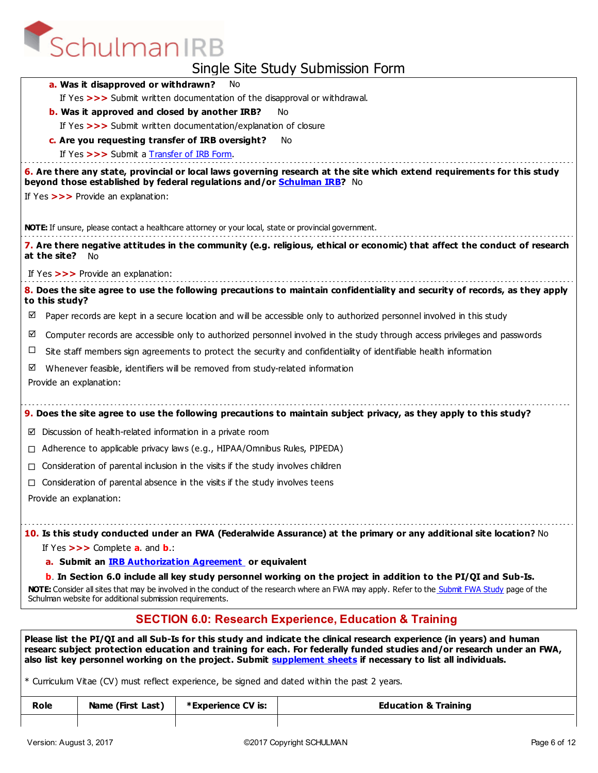| <b>Strict Time Study Suprification</b>                                                                                                                                                                                                                                                                                              |
|-------------------------------------------------------------------------------------------------------------------------------------------------------------------------------------------------------------------------------------------------------------------------------------------------------------------------------------|
| a. Was it disapproved or withdrawn?<br>No                                                                                                                                                                                                                                                                                           |
| If Yes >>> Submit written documentation of the disapproval or withdrawal.                                                                                                                                                                                                                                                           |
| <b>b.</b> Was it approved and closed by another IRB?<br>No                                                                                                                                                                                                                                                                          |
| If Yes >>> Submit written documentation/explanation of closure                                                                                                                                                                                                                                                                      |
| c. Are you requesting transfer of IRB oversight?<br>No                                                                                                                                                                                                                                                                              |
| If Yes >>> Submit a Transfer of IRB Form.                                                                                                                                                                                                                                                                                           |
| 6. Are there any state, provincial or local laws governing research at the site which extend requirements for this study<br>beyond those established by federal regulations and/or Schulman IRB? No                                                                                                                                 |
| If Yes >>> Provide an explanation:                                                                                                                                                                                                                                                                                                  |
| NOTE: If unsure, please contact a healthcare attorney or your local, state or provincial government.                                                                                                                                                                                                                                |
| 7. Are there negative attitudes in the community (e.g. religious, ethical or economic) that affect the conduct of research<br>at the site?<br>No.                                                                                                                                                                                   |
| If Yes >>> Provide an explanation:                                                                                                                                                                                                                                                                                                  |
| 8. Does the site agree to use the following precautions to maintain confidentiality and security of records, as they apply<br>to this study?                                                                                                                                                                                        |
| Paper records are kept in a secure location and will be accessible only to authorized personnel involved in this study<br>☑                                                                                                                                                                                                         |
| Computer records are accessible only to authorized personnel involved in the study through access privileges and passwords<br>☑                                                                                                                                                                                                     |
| □<br>Site staff members sign agreements to protect the security and confidentiality of identifiable health information                                                                                                                                                                                                              |
| Whenever feasible, identifiers will be removed from study-related information<br>☑<br>Provide an explanation:                                                                                                                                                                                                                       |
| 9. Does the site agree to use the following precautions to maintain subject privacy, as they apply to this study?                                                                                                                                                                                                                   |
| $\boxtimes$ Discussion of health-related information in a private room                                                                                                                                                                                                                                                              |
| Adherence to applicable privacy laws (e.g., HIPAA/Omnibus Rules, PIPEDA)<br>$\Box$                                                                                                                                                                                                                                                  |
| Consideration of parental inclusion in the visits if the study involves children<br>П.                                                                                                                                                                                                                                              |
| Consideration of parental absence in the visits if the study involves teens                                                                                                                                                                                                                                                         |
| Provide an explanation:                                                                                                                                                                                                                                                                                                             |
| 10. Is this study conducted under an FWA (Federalwide Assurance) at the primary or any additional site location? No<br>If Yes $>>$ Complete <b>a</b> . and <b>b</b> .:                                                                                                                                                              |
| a. Submit an <b>IRB Authorization Agreement</b> or equivalent                                                                                                                                                                                                                                                                       |
| <b>b</b> . In Section 6.0 include all key study personnel working on the project in addition to the PI/QI and Sub-Is.<br>NOTE: Consider all sites that may be involved in the conduct of the research where an FWA may apply. Refer to the Submit FWA Study page of the<br>Schulman website for additional submission requirements. |
| <b>SECTION 6.0: Research Experience, Education &amp; Training</b>                                                                                                                                                                                                                                                                   |
| Please list the PI/QI and all Sub-Is for this study and indicate the clinical research experience (in years) and human                                                                                                                                                                                                              |

**researc subject protection education and training for each. For federally funded studies and/or research under an FWA, also list key personnel working on the project. Submit supplement sheets if necessary to list all individuals.**

\* Curriculum Vitae (CV) must reflect experience, be signed and dated within the past 2 years.

| Role | Name (First Last) | *Experience CV is: | <b>Education &amp; Training</b> |
|------|-------------------|--------------------|---------------------------------|
|      |                   |                    |                                 |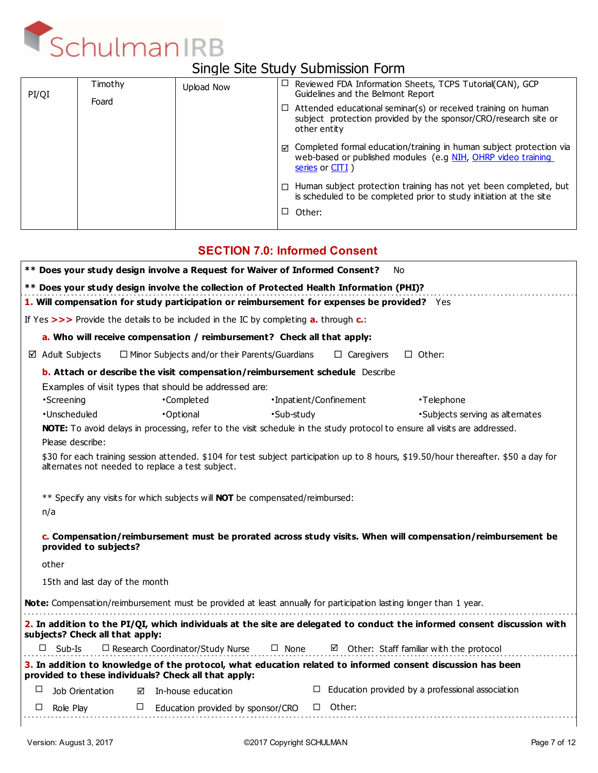

## Single Site Study Submission Form

| PI/QI | Timothy | Upload Now |   | $\Box$ Reviewed FDA Information Sheets, TCPS Tutorial(CAN), GCP<br>Guidelines and the Belmont Report                                                               |
|-------|---------|------------|---|--------------------------------------------------------------------------------------------------------------------------------------------------------------------|
|       | Foard   |            |   | $\Box$ Attended educational seminar(s) or received training on human<br>subject protection provided by the sponsor/CRO/research site or<br>other entity            |
|       |         |            |   | $\boxtimes$ Completed formal education/training in human subject protection via<br>web-based or published modules (e.g NIH, OHRP video training<br>series or CITI) |
|       |         |            | П | Human subject protection training has not yet been completed, but<br>is scheduled to be completed prior to study initiation at the site                            |
|       |         |            | ப | Other:                                                                                                                                                             |
|       |         |            |   |                                                                                                                                                                    |

### **SECTION 7.0: Informed Consent**

|                                 |                                                                                                      | ** Does your study design involve a Request for Waiver of Informed Consent?                                                | . No                                                                                                                                 |
|---------------------------------|------------------------------------------------------------------------------------------------------|----------------------------------------------------------------------------------------------------------------------------|--------------------------------------------------------------------------------------------------------------------------------------|
|                                 |                                                                                                      | ** Does your study design involve the collection of Protected Health Information (PHI)?                                    |                                                                                                                                      |
|                                 |                                                                                                      | 1. Will compensation for study participation or reimbursement for expenses be provided? Yes                                |                                                                                                                                      |
|                                 | If Yes $>>$ Provide the details to be included in the IC by completing <b>a.</b> through <b>c.</b> : |                                                                                                                            |                                                                                                                                      |
|                                 | a. Who will receive compensation / reimbursement? Check all that apply:                              |                                                                                                                            |                                                                                                                                      |
| $\boxtimes$ Adult Subjects      | $\Box$ Minor Subjects and/or their Parents/Guardians                                                 | $\Box$ Caregivers                                                                                                          | $\Box$ Other:                                                                                                                        |
|                                 |                                                                                                      | <b>b. Attach or describe the visit compensation/reimbursement schedule</b> Describe                                        |                                                                                                                                      |
|                                 | Examples of visit types that should be addressed are:                                                |                                                                                                                            |                                                                                                                                      |
| •Screening                      | •Completed                                                                                           | •Inpatient/Confinement                                                                                                     | •Telephone                                                                                                                           |
| ·Unscheduled                    | •Optional                                                                                            | •Sub-study                                                                                                                 | •Subjects serving as alternates                                                                                                      |
|                                 |                                                                                                      | NOTE: To avoid delays in processing, refer to the visit schedule in the study protocol to ensure all visits are addressed. |                                                                                                                                      |
| Please describe:                |                                                                                                      |                                                                                                                            |                                                                                                                                      |
|                                 | alternates not needed to replace a test subject.                                                     |                                                                                                                            | \$30 for each training session attended. \$104 for test subject participation up to 8 hours, \$19.50/hour thereafter. \$50 a day for |
| n/a                             | ** Specify any visits for which subjects will <b>NOT</b> be compensated/reimbursed:                  |                                                                                                                            |                                                                                                                                      |
| provided to subjects?           |                                                                                                      |                                                                                                                            | c. Compensation/reimbursement must be prorated across study visits. When will compensation/reimbursement be                          |
| other                           |                                                                                                      |                                                                                                                            |                                                                                                                                      |
| 15th and last day of the month  |                                                                                                      |                                                                                                                            |                                                                                                                                      |
|                                 |                                                                                                      | Note: Compensation/reimbursement must be provided at least annually for participation lasting longer than 1 year.          |                                                                                                                                      |
| subjects? Check all that apply: |                                                                                                      |                                                                                                                            | 2. In addition to the PI/QI, which individuals at the site are delegated to conduct the informed consent discussion with             |
| $\square$ Sub-Is                | $\Box$ Research Coordinator/Study Nurse                                                              | $\Box$ None                                                                                                                | $\boxtimes$ Other: Staff familiar with the protocol                                                                                  |
|                                 | provided to these individuals? Check all that apply:                                                 | 3. In addition to knowledge of the protocol, what education related to informed consent discussion has been                |                                                                                                                                      |
| □<br>Job Orientation            | In-house education<br>⊠                                                                              | □                                                                                                                          | Education provided by a professional association                                                                                     |
| Role Play<br>ப                  | $\Box$<br>Education provided by sponsor/CRO                                                          | Other:<br>$\Box$                                                                                                           |                                                                                                                                      |
|                                 |                                                                                                      |                                                                                                                            |                                                                                                                                      |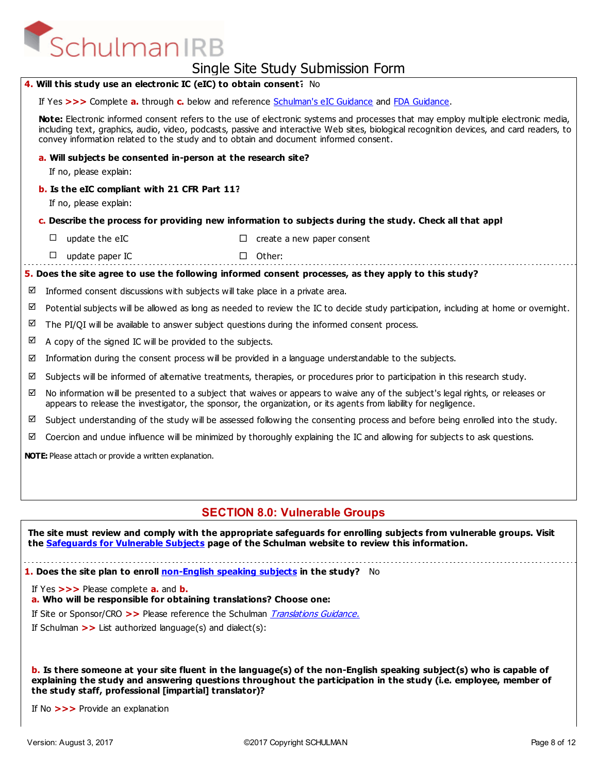# SchulmanIRB

## Single Site Study Submission Form

|   |                                                                                                                                                                                                                                                                                                                                                                         | ייייט י ייטיטטווישט ישטע טאיט טאיט                                                                                                   |  |  |  |  |  |
|---|-------------------------------------------------------------------------------------------------------------------------------------------------------------------------------------------------------------------------------------------------------------------------------------------------------------------------------------------------------------------------|--------------------------------------------------------------------------------------------------------------------------------------|--|--|--|--|--|
|   | 4. Will this study use an electronic IC (eIC) to obtain consent? No                                                                                                                                                                                                                                                                                                     |                                                                                                                                      |  |  |  |  |  |
|   | If Yes >>> Complete a. through c. below and reference Schulman's eIC Guidance and FDA Guidance.                                                                                                                                                                                                                                                                         |                                                                                                                                      |  |  |  |  |  |
|   | Note: Electronic informed consent refers to the use of electronic systems and processes that may employ multiple electronic media,<br>including text, graphics, audio, video, podcasts, passive and interactive Web sites, biological recognition devices, and card readers, to<br>convey information related to the study and to obtain and document informed consent. |                                                                                                                                      |  |  |  |  |  |
|   | a. Will subjects be consented in-person at the research site?                                                                                                                                                                                                                                                                                                           |                                                                                                                                      |  |  |  |  |  |
|   | If no, please explain:                                                                                                                                                                                                                                                                                                                                                  |                                                                                                                                      |  |  |  |  |  |
|   | b. Is the eIC compliant with 21 CFR Part 11?                                                                                                                                                                                                                                                                                                                            |                                                                                                                                      |  |  |  |  |  |
|   | If no, please explain:                                                                                                                                                                                                                                                                                                                                                  |                                                                                                                                      |  |  |  |  |  |
|   |                                                                                                                                                                                                                                                                                                                                                                         | c. Describe the process for providing new information to subjects during the study. Check all that appl                              |  |  |  |  |  |
|   | update the eIC<br>□                                                                                                                                                                                                                                                                                                                                                     | create a new paper consent<br>□                                                                                                      |  |  |  |  |  |
|   | update paper IC<br>$\Box$                                                                                                                                                                                                                                                                                                                                               | $\Box$ Other:                                                                                                                        |  |  |  |  |  |
|   |                                                                                                                                                                                                                                                                                                                                                                         | 5. Does the site agree to use the following informed consent processes, as they apply to this study?                                 |  |  |  |  |  |
| ☑ | Informed consent discussions with subjects will take place in a private area.                                                                                                                                                                                                                                                                                           |                                                                                                                                      |  |  |  |  |  |
| ☑ |                                                                                                                                                                                                                                                                                                                                                                         | Potential subjects will be allowed as long as needed to review the IC to decide study participation, including at home or overnight. |  |  |  |  |  |
| ☑ |                                                                                                                                                                                                                                                                                                                                                                         | The PI/QI will be available to answer subject questions during the informed consent process.                                         |  |  |  |  |  |
| ☑ | A copy of the signed IC will be provided to the subjects.                                                                                                                                                                                                                                                                                                               |                                                                                                                                      |  |  |  |  |  |
| ☑ |                                                                                                                                                                                                                                                                                                                                                                         | Information during the consent process will be provided in a language understandable to the subjects.                                |  |  |  |  |  |
| ☑ | Subjects will be informed of alternative treatments, therapies, or procedures prior to participation in this research study.                                                                                                                                                                                                                                            |                                                                                                                                      |  |  |  |  |  |
| ☑ | No information will be presented to a subject that waives or appears to waive any of the subject's legal rights, or releases or<br>appears to release the investigator, the sponsor, the organization, or its agents from liability for negligence.                                                                                                                     |                                                                                                                                      |  |  |  |  |  |
| ☑ | Subject understanding of the study will be assessed following the consenting process and before being enrolled into the study.                                                                                                                                                                                                                                          |                                                                                                                                      |  |  |  |  |  |
| ☑ |                                                                                                                                                                                                                                                                                                                                                                         | Coercion and undue influence will be minimized by thoroughly explaining the IC and allowing for subjects to ask questions.           |  |  |  |  |  |
|   | NOTE: Please attach or provide a written explanation.                                                                                                                                                                                                                                                                                                                   |                                                                                                                                      |  |  |  |  |  |
|   |                                                                                                                                                                                                                                                                                                                                                                         |                                                                                                                                      |  |  |  |  |  |
|   |                                                                                                                                                                                                                                                                                                                                                                         |                                                                                                                                      |  |  |  |  |  |

### **SECTION 8.0: Vulnerable Groups**

**The site must review and comply with the appropriate safeguards for enrolling subjects from vulnerable groups. Visit the Safeguards for Vulnerable Subjects page of the Schulman website to review this information.** 

**1. Does the site plan to enroll non-English speaking subjects in the study?** No

If Yes **>>>** Please complete **a.** and **b.**

**a. Who will be responsible for obtaining translations? Choose one:**

If Site or Sponsor/CRO **>>** Please reference the Schulman Translations Guidance.

If Schulman **>>** List authorized language(s) and dialect(s):

**b. Is there someone at your site fluent in the language(s) of the non-English speaking subject(s) who is capable of explaining the study and answering questions throughout the participation in the study (i.e. employee, member of the study staff, professional [impartial] translator)?** 

If No **>>>** Provide an explanation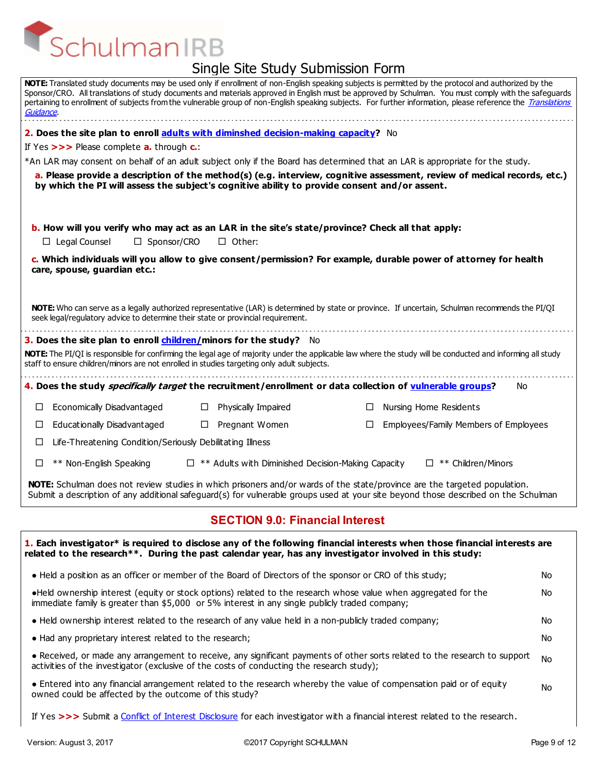| יט ויטוטטווווטטוווויכ                                                                                                                                                                                                                                                                                                                                                                                                                                                                   |  |  |
|-----------------------------------------------------------------------------------------------------------------------------------------------------------------------------------------------------------------------------------------------------------------------------------------------------------------------------------------------------------------------------------------------------------------------------------------------------------------------------------------|--|--|
| NOTE: Translated study documents may be used only if enrollment of non-English speaking subjects is permitted by the protocol and authorized by the<br>Sponsor/CRO. All translations of study documents and materials approved in English must be approved by Schulman. You must comply with the safeguards<br>pertaining to enrollment of subjects from the vulnerable group of non-English speaking subjects. For further information, please reference the Translations<br>Guidance. |  |  |
| 2. Does the site plan to enroll adults with diminshed decision-making capacity? No                                                                                                                                                                                                                                                                                                                                                                                                      |  |  |
| If Yes $>>$ Please complete <b>a.</b> through $c$ .                                                                                                                                                                                                                                                                                                                                                                                                                                     |  |  |
| *An LAR may consent on behalf of an adult subject only if the Board has determined that an LAR is appropriate for the study.                                                                                                                                                                                                                                                                                                                                                            |  |  |
| a. Please provide a description of the method(s) (e.g. interview, cognitive assessment, review of medical records, etc.)<br>by which the PI will assess the subject's cognitive ability to provide consent and/or assent.                                                                                                                                                                                                                                                               |  |  |
| b. How will you verify who may act as an LAR in the site's state/province? Check all that apply:                                                                                                                                                                                                                                                                                                                                                                                        |  |  |
| $\Box$ Legal Counsel<br>□ Sponsor/CRO<br>$\Box$ Other:                                                                                                                                                                                                                                                                                                                                                                                                                                  |  |  |
| c. Which individuals will you allow to give consent/permission? For example, durable power of attorney for health<br>care, spouse, guardian etc.:                                                                                                                                                                                                                                                                                                                                       |  |  |
| NOTE: Who can serve as a legally authorized representative (LAR) is determined by state or province. If uncertain, Schulman recommends the PI/QI<br>seek legal/regulatory advice to determine their state or provincial requirement.                                                                                                                                                                                                                                                    |  |  |
| 3. Does the site plan to enroll children/minors for the study? No<br>NOTE: The PI/QI is responsible for confirming the legal age of majority under the applicable law where the study will be conducted and informing all study<br>staff to ensure children/minors are not enrolled in studies targeting only adult subjects.                                                                                                                                                           |  |  |
| 4. Does the study <i>specifically target</i> the recruitment/enrollment or data collection of vulnerable groups?<br>No.                                                                                                                                                                                                                                                                                                                                                                 |  |  |
| Economically Disadvantaged<br>Physically Impaired<br>Nursing Home Residents<br>⊔<br>ш<br>⊔                                                                                                                                                                                                                                                                                                                                                                                              |  |  |
| Educationally Disadvantaged<br>Pregnant Women<br>Employees/Family Members of Employees<br>□<br>$\Box$<br>⊔                                                                                                                                                                                                                                                                                                                                                                              |  |  |
| Life-Threatening Condition/Seriously Debilitating Illness<br>⊔                                                                                                                                                                                                                                                                                                                                                                                                                          |  |  |
|                                                                                                                                                                                                                                                                                                                                                                                                                                                                                         |  |  |
| ** Non-English Speaking<br>$\Box$ ** Adults with Diminished Decision-Making Capacity<br>$\Box$ ** Children/Minors<br>□                                                                                                                                                                                                                                                                                                                                                                  |  |  |
| <b>NOTE:</b> Schulman does not review studies in which prisoners and/or wards of the state/province are the targeted population.<br>Submit a description of any additional safeguard(s) for vulnerable groups used at your site beyond those described on the Schulman                                                                                                                                                                                                                  |  |  |
| <b>SECTION 9.0: Financial Interest</b>                                                                                                                                                                                                                                                                                                                                                                                                                                                  |  |  |
| 1. Each investigator* is required to disclose any of the following financial interests when those financial interests are<br>related to the research**. During the past calendar year, has any investigator involved in this study:                                                                                                                                                                                                                                                     |  |  |
| . Held a position as an officer or member of the Board of Directors of the sponsor or CRO of this study;<br>No                                                                                                                                                                                                                                                                                                                                                                          |  |  |

- No ●Held ownership interest (equity or stock options) related to the research whose value when aggregated for the immediate family is greater than \$5,000 or 5% interest in any single publicly traded company;
- Held ownership interest related to the research of any value held in a non-publicly traded company;
- Had any proprietary interest related to the research;
	- No ● Received, or made any arrangement to receive, any significant payments of other sorts related to the research to support activities of the investigator (exclusive of the costs of conducting the research study);
	- No ● Entered into any financial arrangement related to the research whereby the value of compensation paid or of equity owned could be affected by the outcome of this study?
	- If Yes **>>>** Submit a Conflict of Interest Disclosure for each investigator with a financial interest related to the research.

No No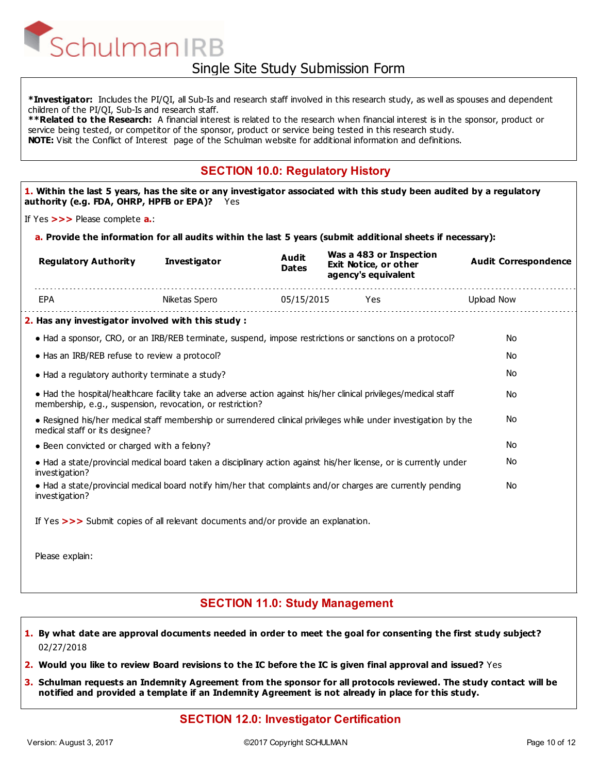**\*Investigator:** Includes the PI/QI, all Sub-Is and research staff involved in this research study, as well as spouses and dependent children of the PI/QI, Sub-Is and research staff.

**\*\*Related to the Research:** A financial interest is related to the research when financial interest is in the sponsor, product or service being tested, or competitor of the sponsor, product or service being tested in this research study. **NOTE:** Visit the Conflict of Interest page of the Schulman website for additional information and definitions.

### **SECTION 10.0: Regulatory History**

**1. Within the last 5 years, has the site or any investigator associated with this study been audited by a regulatory authority (e.g. FDA, OHRP, HPFB or EPA)?** Yes

If Yes **>>>** Please complete **a.**:

**a. Provide the information for all audits within the last 5 years (submit additional sheets if necessary):**

| <b>Regulatory Authority</b>                                                                                                                                                  | <b>Investigator</b> | Audit<br><b>Dates</b> | Was a 483 or Inspection<br>Exit Notice, or other<br>agency's equivalent | <b>Audit Correspondence</b> |  |
|------------------------------------------------------------------------------------------------------------------------------------------------------------------------------|---------------------|-----------------------|-------------------------------------------------------------------------|-----------------------------|--|
| EPA                                                                                                                                                                          | Niketas Spero       |                       |                                                                         | Upload Now                  |  |
| 2. Has any investigator involved with this study :                                                                                                                           |                     |                       |                                                                         |                             |  |
| • Had a sponsor, CRO, or an IRB/REB terminate, suspend, impose restrictions or sanctions on a protocol?                                                                      |                     |                       |                                                                         | <b>No</b>                   |  |
| • Has an IRB/REB refuse to review a protocol?                                                                                                                                |                     |                       |                                                                         | <b>No</b>                   |  |
| • Had a regulatory authority terminate a study?                                                                                                                              |                     |                       |                                                                         | <b>No</b>                   |  |
| • Had the hospital/healthcare facility take an adverse action against his/her clinical privileges/medical staff<br>membership, e.g., suspension, revocation, or restriction? |                     |                       |                                                                         | No                          |  |
| . Resigned his/her medical staff membership or surrendered clinical privileges while under investigation by the<br>medical staff or its designee?                            |                     |                       |                                                                         | No                          |  |
| • Been convicted or charged with a felony?                                                                                                                                   |                     |                       |                                                                         | <b>No</b>                   |  |
| • Had a state/provincial medical board taken a disciplinary action against his/her license, or is currently under<br>investigation?                                          |                     |                       |                                                                         | No                          |  |
| • Had a state/provincial medical board notify him/her that complaints and/or charges are currently pending<br>investigation?                                                 |                     |                       |                                                                         | No                          |  |
| If Yes >>> Submit copies of all relevant documents and/or provide an explanation.                                                                                            |                     |                       |                                                                         |                             |  |
| Please explain:                                                                                                                                                              |                     |                       |                                                                         |                             |  |
|                                                                                                                                                                              |                     |                       |                                                                         |                             |  |

#### **SECTION 11.0: Study Management**

- **1. By what date are approval documents needed in order to meet the goal for consenting the first study subject?**  02/27/2018
- **2. Would you like to review Board revisions to the IC before the IC is given final approval and issued?** Yes
- **Schulman requests an Indemnity Agreement from the sponsor for all protocols reviewed. The study contact will be 3. notified and provided a template if an Indemnity Agreement is not already in place for this study.**

#### **SECTION 12.0: Investigator Certification**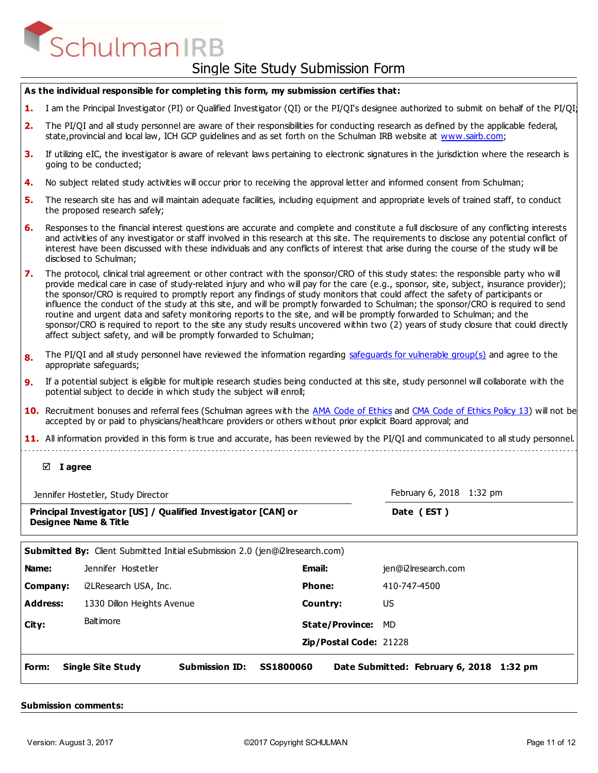| As the individual responsible for completing this form, my submission certifies that: |                                                                                                                                                                                                                                                                                                                                                                                                                                                                                                                                                                                                                                                                                                                                                                                                                                                                                          |                                                                                                                                                                                                                                                                                                                                                                                                                                                      |                        |                                          |
|---------------------------------------------------------------------------------------|------------------------------------------------------------------------------------------------------------------------------------------------------------------------------------------------------------------------------------------------------------------------------------------------------------------------------------------------------------------------------------------------------------------------------------------------------------------------------------------------------------------------------------------------------------------------------------------------------------------------------------------------------------------------------------------------------------------------------------------------------------------------------------------------------------------------------------------------------------------------------------------|------------------------------------------------------------------------------------------------------------------------------------------------------------------------------------------------------------------------------------------------------------------------------------------------------------------------------------------------------------------------------------------------------------------------------------------------------|------------------------|------------------------------------------|
| 1.                                                                                    | I am the Principal Investigator (PI) or Qualified Investigator (QI) or the PI/QI's designee authorized to submit on behalf of the PI/QI'                                                                                                                                                                                                                                                                                                                                                                                                                                                                                                                                                                                                                                                                                                                                                 |                                                                                                                                                                                                                                                                                                                                                                                                                                                      |                        |                                          |
| 2.                                                                                    | The PI/QI and all study personnel are aware of their responsibilities for conducting research as defined by the applicable federal,<br>state, provincial and local law, ICH GCP guidelines and as set forth on the Schulman IRB website at www.sairb.com;                                                                                                                                                                                                                                                                                                                                                                                                                                                                                                                                                                                                                                |                                                                                                                                                                                                                                                                                                                                                                                                                                                      |                        |                                          |
| З.                                                                                    | If utilizing eIC, the investigator is aware of relevant laws pertaining to electronic signatures in the jurisdiction where the research is<br>going to be conducted;                                                                                                                                                                                                                                                                                                                                                                                                                                                                                                                                                                                                                                                                                                                     |                                                                                                                                                                                                                                                                                                                                                                                                                                                      |                        |                                          |
| 4.                                                                                    |                                                                                                                                                                                                                                                                                                                                                                                                                                                                                                                                                                                                                                                                                                                                                                                                                                                                                          | No subject related study activities will occur prior to receiving the approval letter and informed consent from Schulman;                                                                                                                                                                                                                                                                                                                            |                        |                                          |
| 5.                                                                                    | The research site has and will maintain adequate facilities, including equipment and appropriate levels of trained staff, to conduct<br>the proposed research safely;                                                                                                                                                                                                                                                                                                                                                                                                                                                                                                                                                                                                                                                                                                                    |                                                                                                                                                                                                                                                                                                                                                                                                                                                      |                        |                                          |
| 6.                                                                                    |                                                                                                                                                                                                                                                                                                                                                                                                                                                                                                                                                                                                                                                                                                                                                                                                                                                                                          | Responses to the financial interest questions are accurate and complete and constitute a full disclosure of any conflicting interests<br>and activities of any investigator or staff involved in this research at this site. The requirements to disclose any potential conflict of<br>interest have been discussed with these individuals and any conflicts of interest that arise during the course of the study will be<br>disclosed to Schulman; |                        |                                          |
| 7.                                                                                    | The protocol, clinical trial agreement or other contract with the sponsor/CRO of this study states: the responsible party who will<br>provide medical care in case of study-related injury and who will pay for the care (e.g., sponsor, site, subject, insurance provider);<br>the sponsor/CRO is required to promptly report any findings of study monitors that could affect the safety of participants or<br>influence the conduct of the study at this site, and will be promptly forwarded to Schulman; the sponsor/CRO is required to send<br>routine and urgent data and safety monitoring reports to the site, and will be promptly forwarded to Schulman; and the<br>sponsor/CRO is required to report to the site any study results uncovered within two (2) years of study closure that could directly<br>affect subject safety, and will be promptly forwarded to Schulman; |                                                                                                                                                                                                                                                                                                                                                                                                                                                      |                        |                                          |
| 8.                                                                                    |                                                                                                                                                                                                                                                                                                                                                                                                                                                                                                                                                                                                                                                                                                                                                                                                                                                                                          | The PI/QI and all study personnel have reviewed the information regarding safeguards for vulnerable group(s) and agree to the<br>appropriate safeguards;                                                                                                                                                                                                                                                                                             |                        |                                          |
| 9.                                                                                    | If a potential subject is eligible for multiple research studies being conducted at this site, study personnel will collaborate with the<br>potential subject to decide in which study the subject will enroll;                                                                                                                                                                                                                                                                                                                                                                                                                                                                                                                                                                                                                                                                          |                                                                                                                                                                                                                                                                                                                                                                                                                                                      |                        |                                          |
|                                                                                       |                                                                                                                                                                                                                                                                                                                                                                                                                                                                                                                                                                                                                                                                                                                                                                                                                                                                                          | 10. Recruitment bonuses and referral fees (Schulman agrees with the AMA Code of Ethics and CMA Code of Ethics Policy 13) will not be<br>accepted by or paid to physicians/healthcare providers or others without prior explicit Board approval; and                                                                                                                                                                                                  |                        |                                          |
|                                                                                       |                                                                                                                                                                                                                                                                                                                                                                                                                                                                                                                                                                                                                                                                                                                                                                                                                                                                                          | 11. All information provided in this form is true and accurate, has been reviewed by the PI/QI and communicated to all study personnel.                                                                                                                                                                                                                                                                                                              |                        |                                          |
|                                                                                       |                                                                                                                                                                                                                                                                                                                                                                                                                                                                                                                                                                                                                                                                                                                                                                                                                                                                                          |                                                                                                                                                                                                                                                                                                                                                                                                                                                      |                        |                                          |
|                                                                                       | $\boxtimes$ I agree                                                                                                                                                                                                                                                                                                                                                                                                                                                                                                                                                                                                                                                                                                                                                                                                                                                                      |                                                                                                                                                                                                                                                                                                                                                                                                                                                      |                        |                                          |
|                                                                                       |                                                                                                                                                                                                                                                                                                                                                                                                                                                                                                                                                                                                                                                                                                                                                                                                                                                                                          | Jennifer Hostetler, Study Director                                                                                                                                                                                                                                                                                                                                                                                                                   |                        | February 6, 2018 1:32 pm                 |
|                                                                                       |                                                                                                                                                                                                                                                                                                                                                                                                                                                                                                                                                                                                                                                                                                                                                                                                                                                                                          | Principal Investigator [US] / Qualified Investigator [CAN] or<br><b>Designee Name &amp; Title</b>                                                                                                                                                                                                                                                                                                                                                    |                        | Date (EST)                               |
|                                                                                       |                                                                                                                                                                                                                                                                                                                                                                                                                                                                                                                                                                                                                                                                                                                                                                                                                                                                                          |                                                                                                                                                                                                                                                                                                                                                                                                                                                      |                        |                                          |
|                                                                                       |                                                                                                                                                                                                                                                                                                                                                                                                                                                                                                                                                                                                                                                                                                                                                                                                                                                                                          | Submitted By: Client Submitted Initial eSubmission 2.0 (jen@i2lresearch.com)                                                                                                                                                                                                                                                                                                                                                                         |                        |                                          |
| Name:                                                                                 |                                                                                                                                                                                                                                                                                                                                                                                                                                                                                                                                                                                                                                                                                                                                                                                                                                                                                          | Jennifer Hostetler                                                                                                                                                                                                                                                                                                                                                                                                                                   | <b>Email:</b>          | jen@i2lresearch.com                      |
|                                                                                       | Company:                                                                                                                                                                                                                                                                                                                                                                                                                                                                                                                                                                                                                                                                                                                                                                                                                                                                                 | i2LResearch USA, Inc.                                                                                                                                                                                                                                                                                                                                                                                                                                | Phone:                 | 410-747-4500                             |
|                                                                                       | <b>Address:</b>                                                                                                                                                                                                                                                                                                                                                                                                                                                                                                                                                                                                                                                                                                                                                                                                                                                                          | 1330 Dillon Heights Avenue                                                                                                                                                                                                                                                                                                                                                                                                                           | Country:               | US.                                      |
| City:                                                                                 |                                                                                                                                                                                                                                                                                                                                                                                                                                                                                                                                                                                                                                                                                                                                                                                                                                                                                          | <b>Baltimore</b>                                                                                                                                                                                                                                                                                                                                                                                                                                     | <b>State/Province:</b> | <b>MD</b>                                |
|                                                                                       |                                                                                                                                                                                                                                                                                                                                                                                                                                                                                                                                                                                                                                                                                                                                                                                                                                                                                          |                                                                                                                                                                                                                                                                                                                                                                                                                                                      | Zip/Postal Code: 21228 |                                          |
| Form:                                                                                 |                                                                                                                                                                                                                                                                                                                                                                                                                                                                                                                                                                                                                                                                                                                                                                                                                                                                                          | <b>Single Site Study</b><br><b>Submission ID:</b><br>SS1800060                                                                                                                                                                                                                                                                                                                                                                                       |                        | Date Submitted: February 6, 2018 1:32 pm |
|                                                                                       |                                                                                                                                                                                                                                                                                                                                                                                                                                                                                                                                                                                                                                                                                                                                                                                                                                                                                          |                                                                                                                                                                                                                                                                                                                                                                                                                                                      |                        |                                          |

#### **Submission comments:**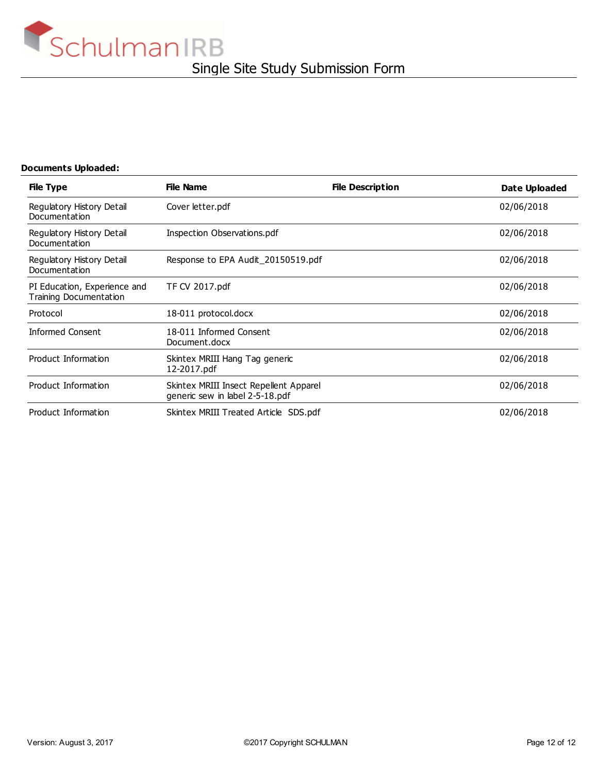

#### **Documents Uploaded:**

| <b>File Type</b>                                              | <b>File Name</b>                                                          | <b>File Description</b> | Date Uploaded |
|---------------------------------------------------------------|---------------------------------------------------------------------------|-------------------------|---------------|
| Regulatory History Detail<br>Documentation                    | Cover letter.pdf                                                          |                         | 02/06/2018    |
| Regulatory History Detail<br>Documentation                    | Inspection Observations.pdf                                               |                         | 02/06/2018    |
| Regulatory History Detail<br>Documentation                    | Response to EPA Audit_20150519.pdf                                        |                         | 02/06/2018    |
| PI Education, Experience and<br><b>Training Documentation</b> | TF CV 2017.pdf                                                            |                         | 02/06/2018    |
| Protocol                                                      | 18-011 protocol.docx                                                      |                         | 02/06/2018    |
| <b>Informed Consent</b>                                       | 18-011 Informed Consent<br>Document.docx                                  |                         | 02/06/2018    |
| Product Information                                           | Skintex MRIII Hang Tag generic<br>12-2017.pdf                             |                         | 02/06/2018    |
| Product Information                                           | Skintex MRIII Insect Repellent Apparel<br>generic sew in label 2-5-18.pdf |                         | 02/06/2018    |
| Product Information                                           | Skintex MRIII Treated Article SDS.pdf                                     |                         | 02/06/2018    |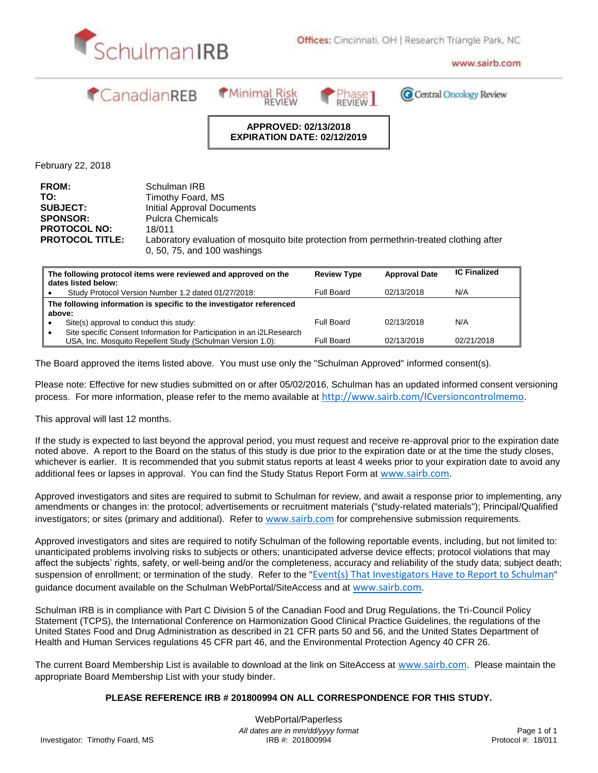



www.sairb.com



**Minimal Risk** 



C Central Oncology Review

#### **APPROVED: 02/13/2018 EXPIRATION DATE: 02/12/2019**

February 22, 2018

| <b>FROM:</b>           | Schulman IRB                                                                             |
|------------------------|------------------------------------------------------------------------------------------|
| TO:                    | Timothy Foard, MS                                                                        |
| <b>SUBJECT:</b>        | Initial Approval Documents                                                               |
| <b>SPONSOR:</b>        | <b>Pulcra Chemicals</b>                                                                  |
| <b>PROTOCOL NO:</b>    | 18/011                                                                                   |
| <b>PROTOCOL TITLE:</b> | Laboratory evaluation of mosquito bite protection from permethrin-treated clothing after |
|                        | 0, 50, 75, and 100 washings                                                              |

| The following protocol items were reviewed and approved on the<br>dates listed below: |                                                                                                                                     | <b>Review Type</b> | <b>Approval Date</b> | <b>IC Finalized</b> |
|---------------------------------------------------------------------------------------|-------------------------------------------------------------------------------------------------------------------------------------|--------------------|----------------------|---------------------|
|                                                                                       | Study Protocol Version Number 1.2 dated 01/27/2018:                                                                                 | Full Board         | 02/13/2018           | N/A                 |
|                                                                                       | The following information is specific to the investigator referenced<br>above:                                                      |                    |                      |                     |
|                                                                                       | Site(s) approval to conduct this study:                                                                                             | Full Board         | 02/13/2018           | N/A                 |
|                                                                                       | Site specific Consent Information for Participation in an i2LResearch<br>USA, Inc. Mosquito Repellent Study (Schulman Version 1.0): | Full Board         | 02/13/2018           | 02/21/2018          |

The Board approved the items listed above. You must use only the "Schulman Approved" informed consent(s).

Please note: Effective for new studies submitted on or after 05/02/2016, Schulman has an updated informed consent versioning process. For more information, please refer to the memo available at <http://www.sairb.com/ICversioncontrolmemo>.

This approval will last 12 months.

If the study is expected to last beyond the approval period, you must request and receive re-approval prior to the expiration date noted above. A report to the Board on the status of this study is due prior to the expiration date or at the time the study closes, whichever is earlier. It is recommended that you submit status reports at least 4 weeks prior to your expiration date to avoid any additional fees or lapses in approval. You can find the Study Status Report Form at [www.sairb.com](http://www.sairb.com/).

Approved investigators and sites are required to submit to Schulman for review, and await a response prior to implementing, any amendments or changes in: the protocol; advertisements or recruitment materials ("study-related materials"); Principal/Qualified investigators; or sites (primary and additional). Refer to [www.sairb.com](http://www.sairb.com/) for comprehensive submission requirements.

Approved investigators and sites are required to notify Schulman of the following reportable events, including, but not limited to: unanticipated problems involving risks to subjects or others; unanticipated adverse device effects; protocol violations that may affect the subjects' rights, safety, or well-being and/or the completeness, accuracy and reliability of the study data; subject death; suspension of enrollment; or termination of the study. Refer to the "*[Event\(s\) That Investigators Have to Report to Schulman](http://www.sairb.com/IRBForms/Events_That_Investigators_Have_to_Report_to_Schulman.pdf)*" guidance document available on the Schulman WebPortal/SiteAccess and at [www.sairb.com](http://www.sairb.com/).

Schulman IRB is in compliance with Part C Division 5 of the Canadian Food and Drug Regulations, the Tri-Council Policy Statement (TCPS), the International Conference on Harmonization Good Clinical Practice Guidelines, the regulations of the United States Food and Drug Administration as described in 21 CFR parts 50 and 56, and the United States Department of Health and Human Services regulations 45 CFR part 46, and the Environmental Protection Agency 40 CFR 26.

The current Board Membership List is available to download at the link on SiteAccess at [www.sairb.com](http://www.sairb.com/). Please maintain the appropriate Board Membership List with your study binder.

#### **PLEASE REFERENCE IRB # 201800994 ON ALL CORRESPONDENCE FOR THIS STUDY.**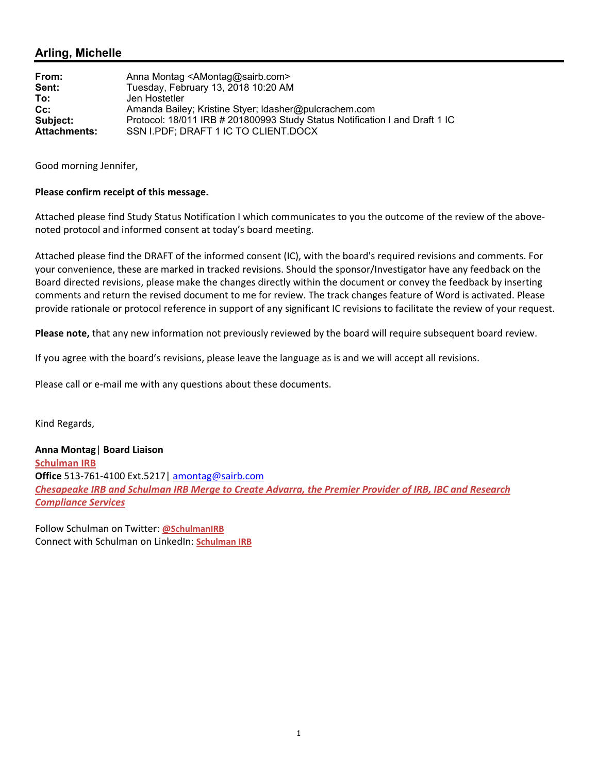#### **Arling, Michelle**

| From:               | Anna Montag <amontag@sairb.com></amontag@sairb.com>                         |
|---------------------|-----------------------------------------------------------------------------|
| Sent:               | Tuesday, February 13, 2018 10:20 AM                                         |
| To:                 | Jen Hostetler                                                               |
| $Cc$ :              | Amanda Bailey; Kristine Styer; Idasher@pulcrachem.com                       |
| Subject:            | Protocol: 18/011 IRB # 201800993 Study Status Notification I and Draft 1 IC |
| <b>Attachments:</b> | SSN I.PDF; DRAFT 1 IC TO CLIENT.DOCX                                        |

Good morning Jennifer,

#### **Please confirm receipt of this message.**

Attached please find Study Status Notification I which communicates to you the outcome of the review of the above‐ noted protocol and informed consent at today's board meeting.

Attached please find the DRAFT of the informed consent (IC), with the board's required revisions and comments. For your convenience, these are marked in tracked revisions. Should the sponsor/Investigator have any feedback on the Board directed revisions, please make the changes directly within the document or convey the feedback by inserting comments and return the revised document to me for review. The track changes feature of Word is activated. Please provide rationale or protocol reference in support of any significant IC revisions to facilitate the review of your request.

**Please note,** that any new information not previously reviewed by the board will require subsequent board review.

If you agree with the board's revisions, please leave the language as is and we will accept all revisions.

Please call or e‐mail me with any questions about these documents.

Kind Regards,

**Anna Montag**| **Board Liaison Schulman IRB Office** 513‐761‐4100 Ext.5217| amontag@sairb.com *Chesapeake IRB and Schulman IRB Merge to Create Advarra, the Premier Provider of IRB, IBC and Research Compliance Services*

Follow Schulman on Twitter: **@SchulmanIRB** Connect with Schulman on LinkedIn: **Schulman IRB**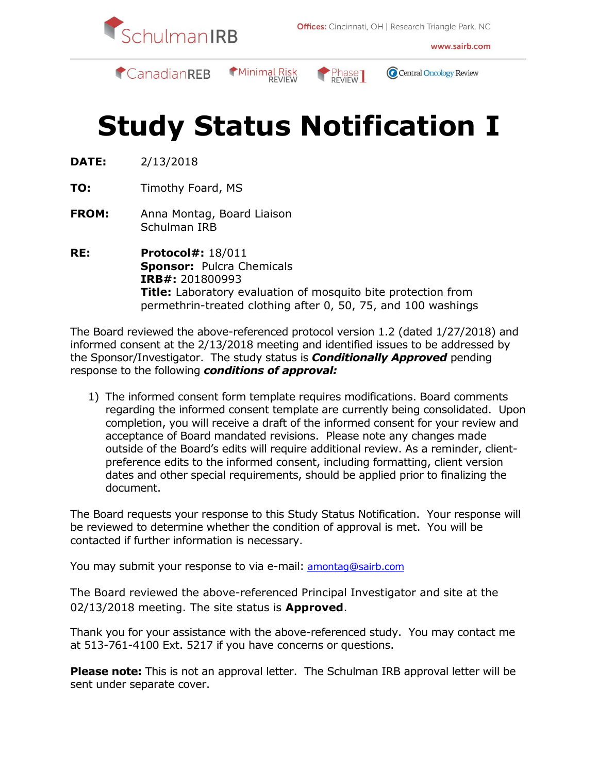

www.sairb.com



Minimal Risk



Central Oncology Review

# **Study Status Notification I**

- **DATE:** 2/13/2018
- **TO:** Timothy Foard, MS
- **FROM:** Anna Montag, Board Liaison Schulman IRB
- **RE: Protocol#:** 18/011 **Sponsor:** Pulcra Chemicals **IRB#:** 201800993 **Title:** Laboratory evaluation of mosquito bite protection from permethrin-treated clothing after 0, 50, 75, and 100 washings

The Board reviewed the above-referenced protocol version 1.2 (dated 1/27/2018) and informed consent at the 2/13/2018 meeting and identified issues to be addressed by the Sponsor/Investigator. The study status is *Conditionally Approved* pending response to the following *conditions of approval:*

1) The informed consent form template requires modifications. Board comments regarding the informed consent template are currently being consolidated. Upon completion, you will receive a draft of the informed consent for your review and acceptance of Board mandated revisions. Please note any changes made outside of the Board's edits will require additional review. As a reminder, clientpreference edits to the informed consent, including formatting, client version dates and other special requirements, should be applied prior to finalizing the document.

The Board requests your response to this Study Status Notification. Your response will be reviewed to determine whether the condition of approval is met. You will be contacted if further information is necessary.

You may submit your response to via e-mail: [amontag@sairb.com](mailto:amontag@sairb.com)

The Board reviewed the above-referenced Principal Investigator and site at the 02/13/2018 meeting. The site status is **Approved**.

Thank you for your assistance with the above-referenced study. You may contact me at 513-761-4100 Ext. 5217 if you have concerns or questions.

**Please note:** This is not an approval letter. The Schulman IRB approval letter will be sent under separate cover.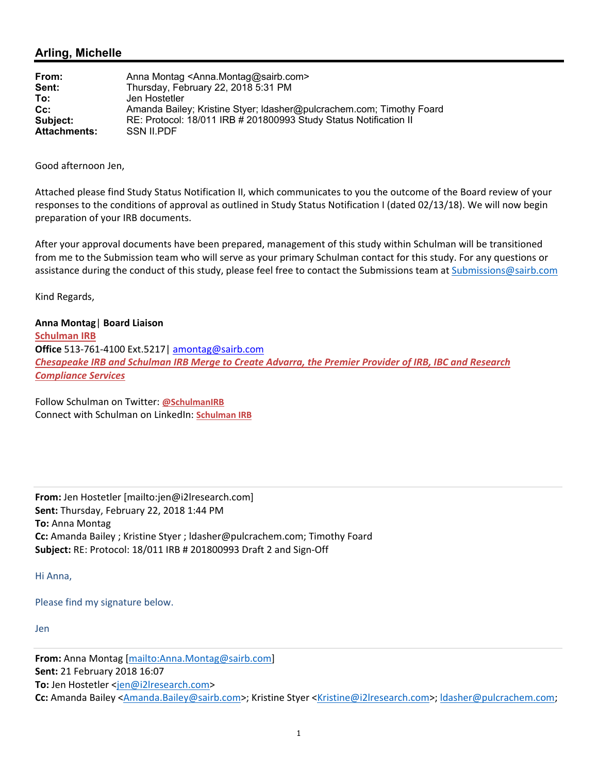#### **Arling, Michelle**

| From:               | Anna Montag <anna.montag@sairb.com></anna.montag@sairb.com>          |
|---------------------|----------------------------------------------------------------------|
| Sent:               | Thursday, February 22, 2018 5:31 PM                                  |
| To:                 | Jen Hostetler                                                        |
| $Cc$ :              | Amanda Bailey; Kristine Styer; Idasher@pulcrachem.com; Timothy Foard |
| Subject:            | RE: Protocol: 18/011 IRB # 201800993 Study Status Notification II    |
| <b>Attachments:</b> | <b>SSN II.PDF</b>                                                    |

Good afternoon Jen,

Attached please find Study Status Notification II, which communicates to you the outcome of the Board review of your responses to the conditions of approval as outlined in Study Status Notification I (dated 02/13/18). We will now begin preparation of your IRB documents.

After your approval documents have been prepared, management of this study within Schulman will be transitioned from me to the Submission team who will serve as your primary Schulman contact for this study. For any questions or assistance during the conduct of this study, please feel free to contact the Submissions team at Submissions@sairb.com

Kind Regards,

**Anna Montag**| **Board Liaison Schulman IRB Office** 513‐761‐4100 Ext.5217| amontag@sairb.com *Chesapeake IRB and Schulman IRB Merge to Create Advarra, the Premier Provider of IRB, IBC and Research Compliance Services*

Follow Schulman on Twitter: **@SchulmanIRB** Connect with Schulman on LinkedIn: **Schulman IRB**

**From:** Jen Hostetler [mailto:jen@i2lresearch.com] **Sent:** Thursday, February 22, 2018 1:44 PM **To:** Anna Montag **Cc:** Amanda Bailey ; Kristine Styer ; ldasher@pulcrachem.com; Timothy Foard **Subject:** RE: Protocol: 18/011 IRB # 201800993 Draft 2 and Sign‐Off

Hi Anna,

Please find my signature below.

Jen

**From:** Anna Montag [mailto:Anna.Montag@sairb.com] **Sent:** 21 February 2018 16:07 **To:** Jen Hostetler <jen@i2lresearch.com> **Cc:** Amanda Bailey <Amanda.Bailey@sairb.com>; Kristine Styer <Kristine@i2lresearch.com>; ldasher@pulcrachem.com;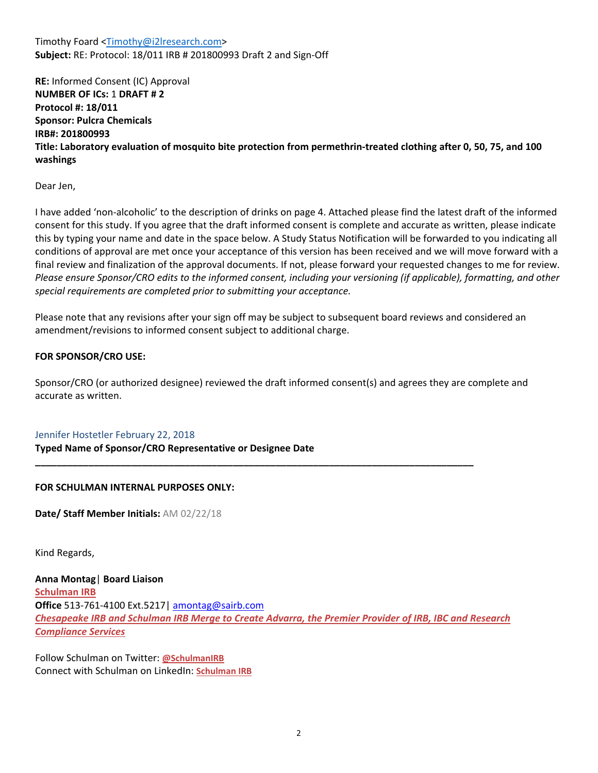Timothy Foard <Timothy@i2lresearch.com> **Subject:** RE: Protocol: 18/011 IRB # 201800993 Draft 2 and Sign‐Off

**RE:** Informed Consent (IC) Approval **NUMBER OF ICs:** 1 **DRAFT # 2 Protocol #: 18/011 Sponsor: Pulcra Chemicals IRB#: 201800993 Title: Laboratory evaluation of mosquito bite protection from permethrin‐treated clothing after 0, 50, 75, and 100 washings** 

Dear Jen,

I have added 'non‐alcoholic' to the description of drinks on page 4. Attached please find the latest draft of the informed consent for this study. If you agree that the draft informed consent is complete and accurate as written, please indicate this by typing your name and date in the space below. A Study Status Notification will be forwarded to you indicating all conditions of approval are met once your acceptance of this version has been received and we will move forward with a final review and finalization of the approval documents. If not, please forward your requested changes to me for review. *Please ensure Sponsor/CRO edits to the informed consent, including your versioning (if applicable), formatting, and other special requirements are completed prior to submitting your acceptance.* 

Please note that any revisions after your sign off may be subject to subsequent board reviews and considered an amendment/revisions to informed consent subject to additional charge.

#### **FOR SPONSOR/CRO USE:**

Sponsor/CRO (or authorized designee) reviewed the draft informed consent(s) and agrees they are complete and accurate as written.

**\_\_\_\_\_\_\_\_\_\_\_\_\_\_\_\_\_\_\_\_\_\_\_\_\_\_\_\_\_\_\_\_\_\_\_\_\_\_\_\_\_\_\_\_\_\_\_\_\_\_\_\_\_\_\_\_\_\_\_\_\_\_\_\_\_\_\_\_\_\_\_\_\_\_\_\_\_\_\_\_\_\_** 

#### Jennifer Hostetler February 22, 2018

**Typed Name of Sponsor/CRO Representative or Designee Date**

#### **FOR SCHULMAN INTERNAL PURPOSES ONLY:**

**Date/ Staff Member Initials:** AM 02/22/18

Kind Regards,

**Anna Montag**| **Board Liaison Schulman IRB Office** 513‐761‐4100 Ext.5217| amontag@sairb.com *Chesapeake IRB and Schulman IRB Merge to Create Advarra, the Premier Provider of IRB, IBC and Research Compliance Services*

Follow Schulman on Twitter: **@SchulmanIRB** Connect with Schulman on LinkedIn: **Schulman IRB**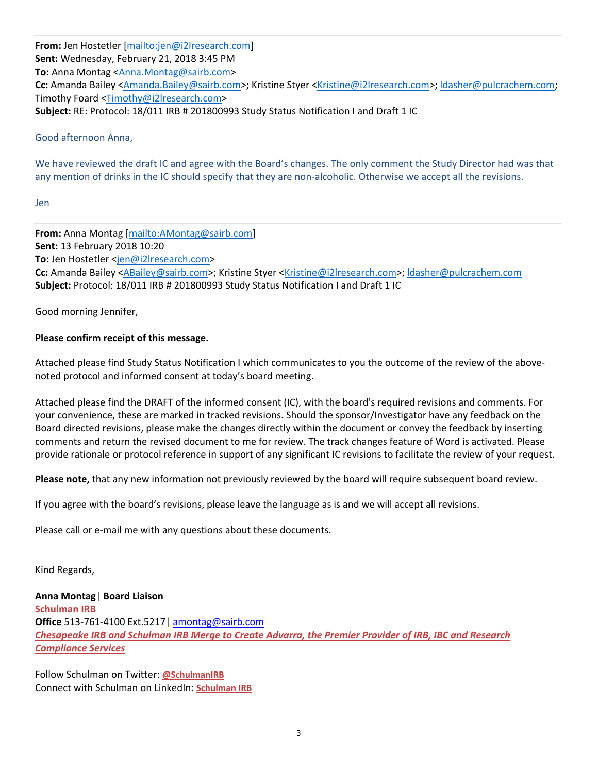**From:** Jen Hostetler [mailto:jen@i2lresearch.com] **Sent:** Wednesday, February 21, 2018 3:45 PM **To:** Anna Montag <Anna.Montag@sairb.com> **Cc:** Amanda Bailey <Amanda.Bailey@sairb.com>; Kristine Styer <Kristine@i2lresearch.com>; ldasher@pulcrachem.com; Timothy Foard <Timothy@i2lresearch.com> **Subject:** RE: Protocol: 18/011 IRB # 201800993 Study Status Notification I and Draft 1 IC

Good afternoon Anna,

We have reviewed the draft IC and agree with the Board's changes. The only comment the Study Director had was that any mention of drinks in the IC should specify that they are non-alcoholic. Otherwise we accept all the revisions.

Jen

**From:** Anna Montag [mailto:AMontag@sairb.com] **Sent:** 13 February 2018 10:20 **To:** Jen Hostetler <jen@i2lresearch.com> **Cc:** Amanda Bailey <ABailey@sairb.com>; Kristine Styer <Kristine@i2lresearch.com>; ldasher@pulcrachem.com **Subject:** Protocol: 18/011 IRB # 201800993 Study Status Notification I and Draft 1 IC

Good morning Jennifer,

#### **Please confirm receipt of this message.**

Attached please find Study Status Notification I which communicates to you the outcome of the review of the above‐ noted protocol and informed consent at today's board meeting.

Attached please find the DRAFT of the informed consent (IC), with the board's required revisions and comments. For your convenience, these are marked in tracked revisions. Should the sponsor/Investigator have any feedback on the Board directed revisions, please make the changes directly within the document or convey the feedback by inserting comments and return the revised document to me for review. The track changes feature of Word is activated. Please provide rationale or protocol reference in support of any significant IC revisions to facilitate the review of your request.

**Please note,** that any new information not previously reviewed by the board will require subsequent board review.

If you agree with the board's revisions, please leave the language as is and we will accept all revisions.

Please call or e-mail me with any questions about these documents.

Kind Regards,

**Anna Montag**| **Board Liaison Schulman IRB Office** 513‐761‐4100 Ext.5217| amontag@sairb.com *Chesapeake IRB and Schulman IRB Merge to Create Advarra, the Premier Provider of IRB, IBC and Research Compliance Services*

Follow Schulman on Twitter: **@SchulmanIRB** Connect with Schulman on LinkedIn: **Schulman IRB**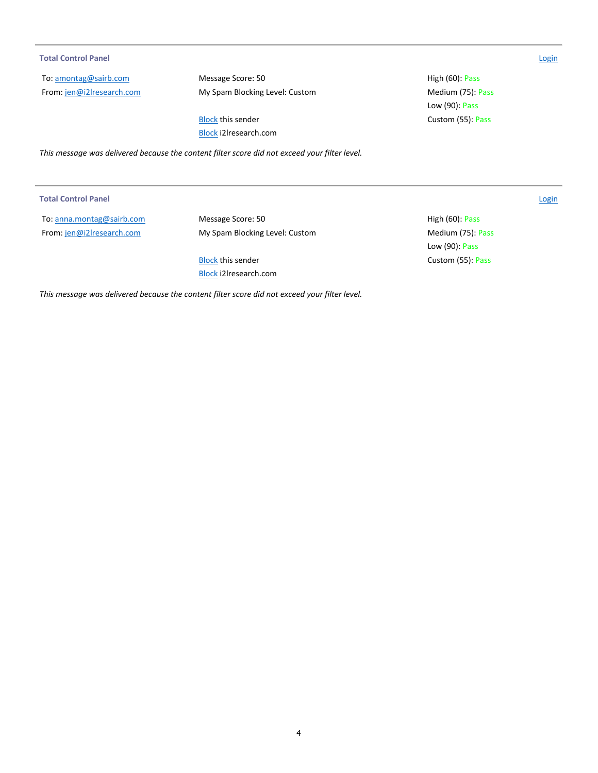#### **Total Control Panel**  Login

To: amontag@sairb.com From: jen@i2lresearch.com Message Score: 50 **Message Score: 50 High (60): Pass** My Spam Blocking Level: Custom **Medium (75)**: Pass

Block this sender **Custom (55): Pass** Block i2lresearch.com

*This message was delivered because the content filter score did not exceed your filter level.* 

To: anna.montag@sairb.com From: jen@i2lresearch.com

Message Score: 50 **High (60): Pass** High (60): Pass My Spam Blocking Level: Custom Medium (75): Pass

Block this sender **Custom (55): Pass** Block i2lresearch.com

Low (90): Pass

*This message was delivered because the content filter score did not exceed your filter level.* 

**Total Control Panel**  Login

Low (90): Pass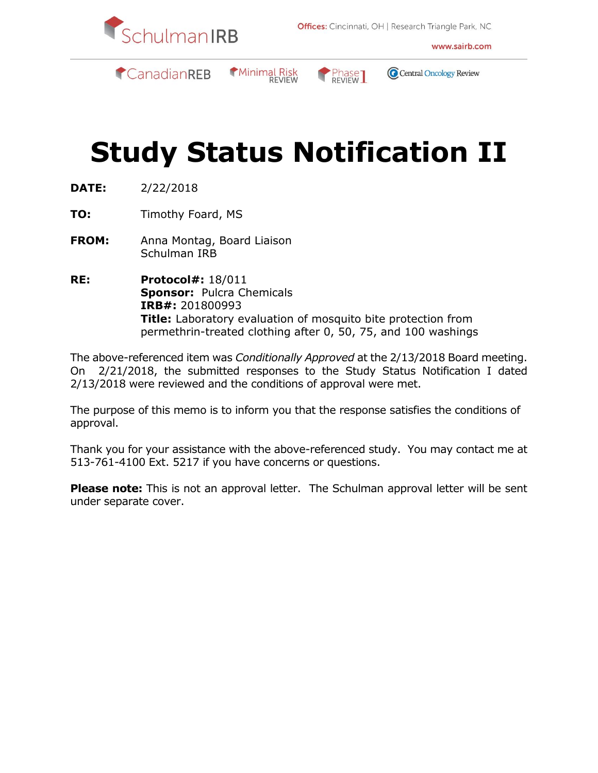

www.sairb.com



Minimal Risk



Central Oncology Review

# **Study Status Notification II**

- **DATE:** 2/22/2018
- **TO:** Timothy Foard, MS
- **FROM:** Anna Montag, Board Liaison Schulman IRB
- **RE: Protocol#:** 18/011 **Sponsor:** Pulcra Chemicals **IRB#:** 201800993 **Title:** Laboratory evaluation of mosquito bite protection from permethrin-treated clothing after 0, 50, 75, and 100 washings

The above-referenced item was *Conditionally Approved* at the 2/13/2018 Board meeting. On 2/21/2018, the submitted responses to the Study Status Notification I dated 2/13/2018 were reviewed and the conditions of approval were met.

The purpose of this memo is to inform you that the response satisfies the conditions of approval.

Thank you for your assistance with the above-referenced study. You may contact me at 513-761-4100 Ext. 5217 if you have concerns or questions.

**Please note:** This is not an approval letter. The Schulman approval letter will be sent under separate cover.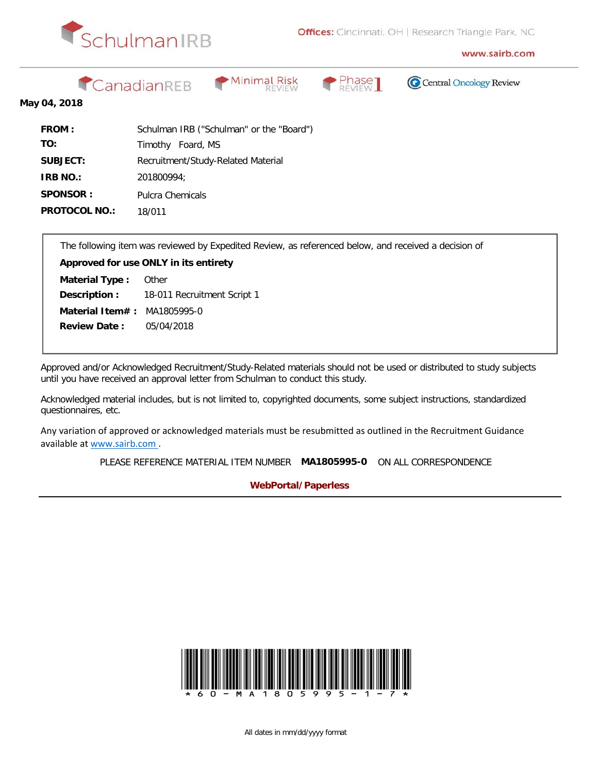

www.sairb.com

CanadianREB







#### **May 04, 2018**

| <b>FROM:</b>         | Schulman IRB ("Schulman" or the "Board") |
|----------------------|------------------------------------------|
| TO:                  | Timothy Foard, MS                        |
| SUBJECT:             | Recruitment/Study-Related Material       |
| <b>IRB NO.:</b>      | 201800994:                               |
| SPONSOR:             | Pulcra Chemicals                         |
| <b>PROTOCOL NO.:</b> | 18/011                                   |

The following item was reviewed by Expedited Review, as referenced below, and received a decision of

**Material Item# :** MA1805995-0 18-011 Recruitment Script 1 **Approved for use ONLY in its entirety Other** 05/04/2018 **Material Type : Description : Review Date :**

Approved and/or Acknowledged Recruitment/Study-Related materials should not be used or distributed to study subjects until you have received an approval letter from Schulman to conduct this study.

Acknowledged material includes, but is not limited to, copyrighted documents, some subject instructions, standardized questionnaires, etc.

Any variation of approved or acknowledged materials must be resubmitted as outlined in the Recruitment Guidance available at www.sairb.com .

PLEASE REFERENCE MATERIAL ITEM NUMBER **MA1805995-0** ON ALL CORRESPONDENCE

**WebPortal/Paperless**

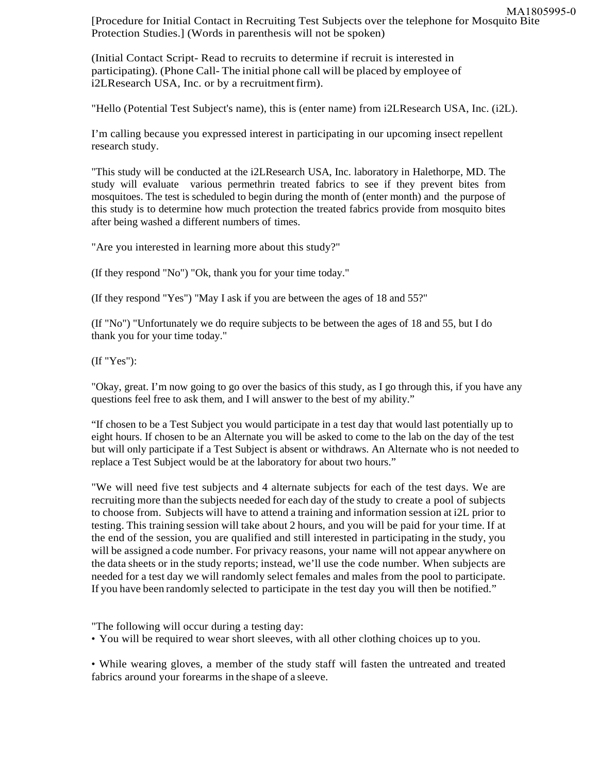[Procedure for Initial Contact in Recruiting Test Subjects over the telephone for Mosquito Bite Protection Studies.] (Words in parenthesis will not be spoken) MA1805995-0

(Initial Contact Script- Read to recruits to determine if recruit is interested in participating). (Phone Call- The initial phone call will be placed by employee of i2LResearch USA, Inc. or by a recruitmentfirm).

"Hello (Potential Test Subject's name), this is (enter name) from i2LResearch USA, Inc. (i2L).

I'm calling because you expressed interest in participating in our upcoming insect repellent research study.

"This study will be conducted at the i2LResearch USA, Inc. laboratory in Halethorpe, MD. The study will evaluate various permethrin treated fabrics to see if they prevent bites from mosquitoes. The test is scheduled to begin during the month of (enter month) and the purpose of this study is to determine how much protection the treated fabrics provide from mosquito bites after being washed a different numbers of times.

"Are you interested in learning more about this study?"

(If they respond "No") "Ok, thank you for your time today."

(If they respond "Yes") "May I ask if you are between the ages of 18 and 55?"

(If "No") "Unfortunately we do require subjects to be between the ages of 18 and 55, but I do thank you for your time today."

(If "Yes"):

"Okay, great. I'm now going to go over the basics of this study, as I go through this, if you have any questions feel free to ask them, and I will answer to the best of my ability."

"If chosen to be a Test Subject you would participate in a test day that would last potentially up to eight hours. If chosen to be an Alternate you will be asked to come to the lab on the day of the test but will only participate if a Test Subject is absent or withdraws. An Alternate who is not needed to replace a Test Subject would be at the laboratory for about two hours."

"We will need five test subjects and 4 alternate subjects for each of the test days. We are recruiting more than the subjects needed for each day of the study to create a pool of subjects to choose from. Subjects will have to attend a training and information session at i2L prior to testing. This training session will take about 2 hours, and you will be paid for your time. If at the end of the session, you are qualified and still interested in participating in the study, you will be assigned a code number. For privacy reasons, your name will not appear anywhere on the data sheets or in the study reports; instead, we'll use the code number. When subjects are needed for a test day we will randomly select females and males from the pool to participate. If you have been randomly selected to participate in the test day you will then be notified."

"The following will occur during a testing day:

• You will be required to wear short sleeves, with all other clothing choices up to you.

• While wearing gloves, a member of the study staff will fasten the untreated and treated fabrics around your forearms in the shape of a sleeve.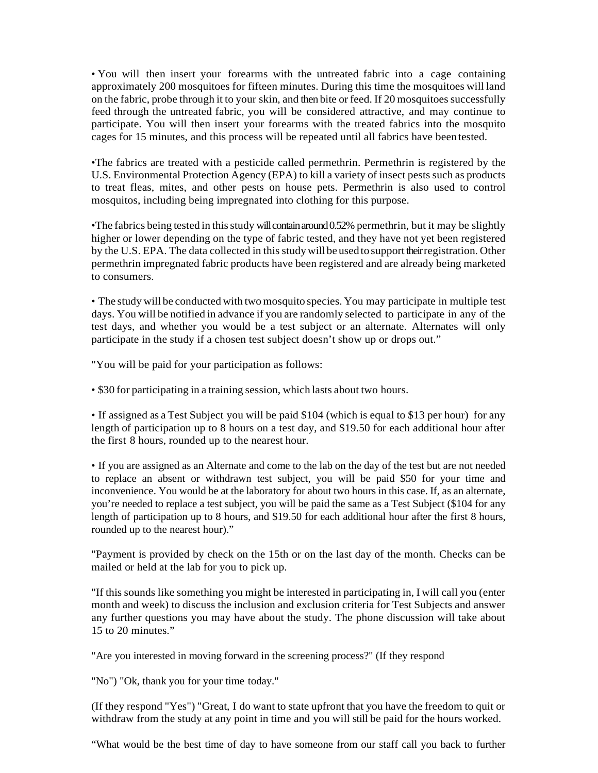• You will then insert your forearms with the untreated fabric into a cage containing approximately 200 mosquitoes for fifteen minutes. During this time the mosquitoes will land on the fabric, probe through it to your skin, and then bite or feed. If 20 mosquitoes successfully feed through the untreated fabric, you will be considered attractive, and may continue to participate. You will then insert your forearms with the treated fabrics into the mosquito cages for 15 minutes, and this process will be repeated until all fabrics have been tested.

•The fabrics are treated with a pesticide called permethrin. Permethrin is registered by the U.S. Environmental Protection Agency (EPA) to kill a variety of insect pests such as products to treat fleas, mites, and other pests on house pets. Permethrin is also used to control mosquitos, including being impregnated into clothing for this purpose.

•The fabrics being tested in this study will contain around 0.52% permethrin, but it may be slightly higher or lower depending on the type of fabric tested, and they have not yet been registered by the U.S. EPA. The data collected in this study will be usedto support their registration. Other permethrin impregnated fabric products have been registered and are already being marketed to consumers.

• The study will be conducted with two mosquito species. You may participate in multiple test days. You will be notified in advance if you are randomly selected to participate in any of the test days, and whether you would be a test subject or an alternate. Alternates will only participate in the study if a chosen test subject doesn't show up or drops out."

"You will be paid for your participation as follows:

• \$30 for participating in a training session, which lasts about two hours.

• If assigned as a Test Subject you will be paid \$104 (which is equal to \$13 per hour) for any length of participation up to 8 hours on a test day, and \$19.50 for each additional hour after the first 8 hours, rounded up to the nearest hour.

• If you are assigned as an Alternate and come to the lab on the day of the test but are not needed to replace an absent or withdrawn test subject, you will be paid \$50 for your time and inconvenience. You would be at the laboratory for about two hours in this case. If, as an alternate, you're needed to replace a test subject, you will be paid the same as a Test Subject (\$104 for any length of participation up to 8 hours, and \$19.50 for each additional hour after the first 8 hours, rounded up to the nearest hour)."

"Payment is provided by check on the 15th or on the last day of the month. Checks can be mailed or held at the lab for you to pick up.

"If this sounds like something you might be interested in participating in, I will call you (enter month and week) to discuss the inclusion and exclusion criteria for Test Subjects and answer any further questions you may have about the study. The phone discussion will take about 15 to 20 minutes."

"Are you interested in moving forward in the screening process?" (If they respond

"No") "Ok, thank you for your time today."

(If they respond "Yes") "Great, I do want to state upfront that you have the freedom to quit or withdraw from the study at any point in time and you will still be paid for the hours worked.

"What would be the best time of day to have someone from our staff call you back to further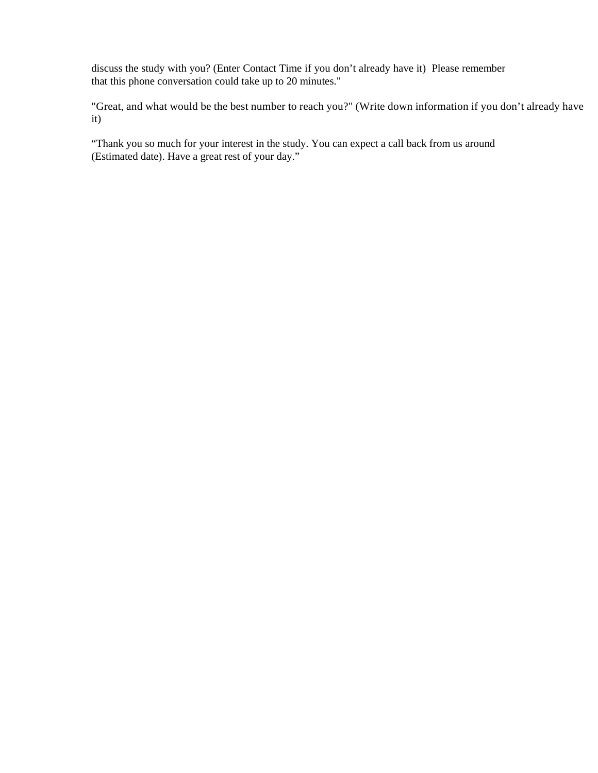discuss the study with you? (Enter Contact Time if you don't already have it) Please remember that this phone conversation could take up to 20 minutes."

"Great, and what would be the best number to reach you?" (Write down information if you don't already have it)

"Thank you so much for your interest in the study. You can expect a call back from us around (Estimated date). Have a great rest of your day."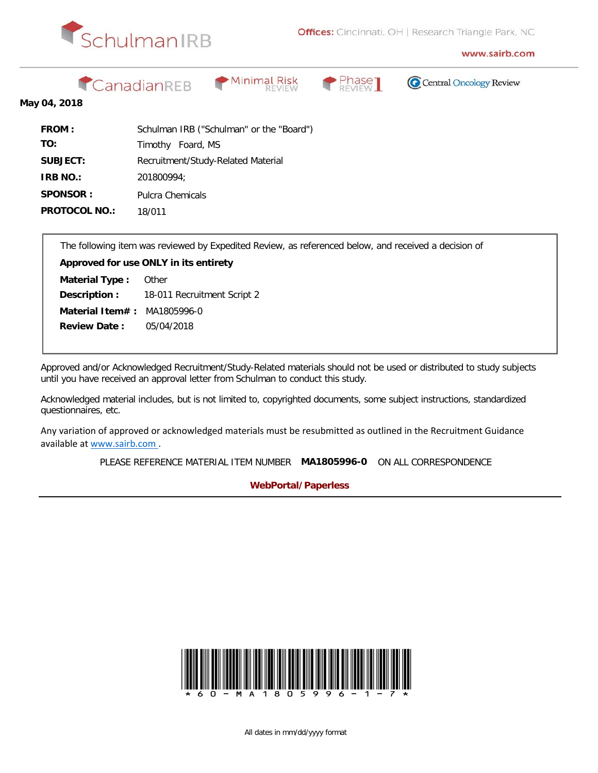

www.sairb.com

CanadianREB







#### **May 04, 2018**

| <b>FROM:</b>         | Schulman IRB ("Schulman" or the "Board") |
|----------------------|------------------------------------------|
| TO:                  | Timothy Foard, MS                        |
| SUBJECT:             | Recruitment/Study-Related Material       |
| <b>IRB NO.:</b>      | 201800994:                               |
| SPONSOR:             | Pulcra Chemicals                         |
| <b>PROTOCOL NO.:</b> | 18/011                                   |

The following item was reviewed by Expedited Review, as referenced below, and received a decision of

**Material Item# :** MA1805996-0 18-011 Recruitment Script 2 **Approved for use ONLY in its entirety Other** 05/04/2018 **Material Type : Description : Review Date :**

Approved and/or Acknowledged Recruitment/Study-Related materials should not be used or distributed to study subjects until you have received an approval letter from Schulman to conduct this study.

Acknowledged material includes, but is not limited to, copyrighted documents, some subject instructions, standardized questionnaires, etc.

Any variation of approved or acknowledged materials must be resubmitted as outlined in the Recruitment Guidance available at www.sairb.com .

PLEASE REFERENCE MATERIAL ITEM NUMBER **MA1805996-0** ON ALL CORRESPONDENCE

**WebPortal/Paperless**

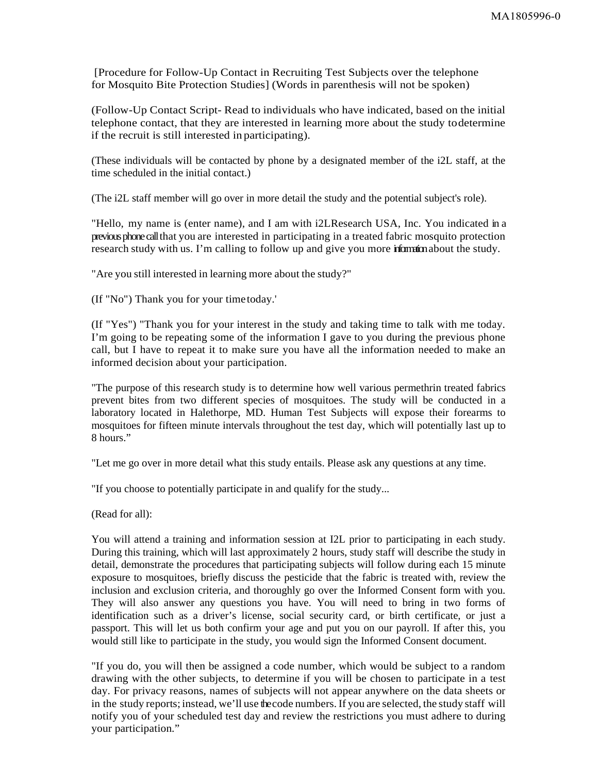[Procedure for Follow-Up Contact in Recruiting Test Subjects over the telephone for Mosquito Bite Protection Studies] (Words in parenthesis will not be spoken)

(Follow-Up Contact Script- Read to individuals who have indicated, based on the initial telephone contact, that they are interested in learning more about the study todetermine if the recruit is still interested in participating).

(These individuals will be contacted by phone by a designated member of the i2L staff, at the time scheduled in the initial contact.)

(The i2L staff member will go over in more detail the study and the potential subject's role).

"Hello, my name is (enter name), and I am with i2LResearch USA, Inc. You indicated in a previous phone call that you are interested in participating in a treated fabric mosquito protection research study with us. I'm calling to follow up and give you more information about the study.

"Are you still interested in learning more about the study?"

(If "No") Thank you for your timetoday.'

(If "Yes") "Thank you for your interest in the study and taking time to talk with me today. I'm going to be repeating some of the information I gave to you during the previous phone call, but I have to repeat it to make sure you have all the information needed to make an informed decision about your participation.

"The purpose of this research study is to determine how well various permethrin treated fabrics prevent bites from two different species of mosquitoes. The study will be conducted in a laboratory located in Halethorpe, MD. Human Test Subjects will expose their forearms to mosquitoes for fifteen minute intervals throughout the test day, which will potentially last up to 8 hours."

"Let me go over in more detail what this study entails. Please ask any questions at any time.

"If you choose to potentially participate in and qualify for the study...

(Read for all):

You will attend a training and information session at I2L prior to participating in each study. During this training, which will last approximately 2 hours, study staff will describe the study in detail, demonstrate the procedures that participating subjects will follow during each 15 minute exposure to mosquitoes, briefly discuss the pesticide that the fabric is treated with, review the inclusion and exclusion criteria, and thoroughly go over the Informed Consent form with you. They will also answer any questions you have. You will need to bring in two forms of identification such as a driver's license, social security card, or birth certificate, or just a passport. This will let us both confirm your age and put you on our payroll. If after this, you would still like to participate in the study, you would sign the Informed Consent document.

"If you do, you will then be assigned a code number, which would be subject to a random drawing with the other subjects, to determine if you will be chosen to participate in a test day. For privacy reasons, names of subjects will not appear anywhere on the data sheets or in the study reports; instead, we'll use the code numbers. If you are selected, the study staff will notify you of your scheduled test day and review the restrictions you must adhere to during your participation."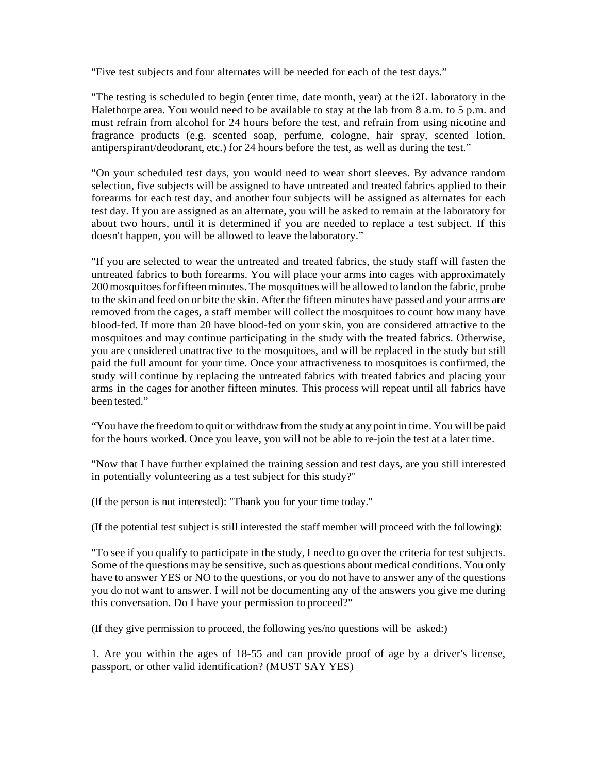"Five test subjects and four alternates will be needed for each of the test days."

"The testing is scheduled to begin (enter time, date month, year) at the i2L laboratory in the Halethorpe area. You would need to be available to stay at the lab from 8 a.m. to 5 p.m. and must refrain from alcohol for 24 hours before the test, and refrain from using nicotine and fragrance products (e.g. scented soap, perfume, cologne, hair spray, scented lotion, antiperspirant/deodorant, etc.) for 24 hours before the test, as well as during the test."

"On your scheduled test days, you would need to wear short sleeves. By advance random selection, five subjects will be assigned to have untreated and treated fabrics applied to their forearms for each test day, and another four subjects will be assigned as alternates for each test day. If you are assigned as an alternate, you will be asked to remain at the laboratory for about two hours, until it is determined if you are needed to replace a test subject. If this doesn't happen, you will be allowed to leave the laboratory."

"If you are selected to wear the untreated and treated fabrics, the study staff will fasten the untreated fabrics to both forearms. You will place your arms into cages with approximately 200 mosquitoesforfifteen minutes.The mosquitoes will be allowed to land on the fabric, probe to the skin and feed on or bite the skin. After the fifteen minutes have passed and your arms are removed from the cages, a staff member will collect the mosquitoes to count how many have blood-fed. If more than 20 have blood-fed on your skin, you are considered attractive to the mosquitoes and may continue participating in the study with the treated fabrics. Otherwise, you are considered unattractive to the mosquitoes, and will be replaced in the study but still paid the full amount for your time. Once your attractiveness to mosquitoes is confirmed, the study will continue by replacing the untreated fabrics with treated fabrics and placing your arms in the cages for another fifteen minutes. This process will repeat until all fabrics have been tested."

"You have the freedom to quit or withdraw from the study at any point in time. You will be paid for the hours worked. Once you leave, you will not be able to re-join the test at a later time.

"Now that I have further explained the training session and test days, are you still interested in potentially volunteering as a test subject for this study?"

(If the person is not interested): "Thank you for your time today."

(If the potential test subject is still interested the staff member will proceed with the following):

"To see if you qualify to participate in the study, I need to go over the criteria for test subjects. Some of the questions may be sensitive, such as questions about medical conditions. You only have to answer YES or NO to the questions, or you do not have to answer any of the questions you do not want to answer. I will not be documenting any of the answers you give me during this conversation. Do I have your permission to proceed?"

(If they give permission to proceed, the following yes/no questions will be asked:)

1. Are you within the ages of 18-55 and can provide proof of age by a driver's license, passport, or other valid identification? (MUST SAY YES)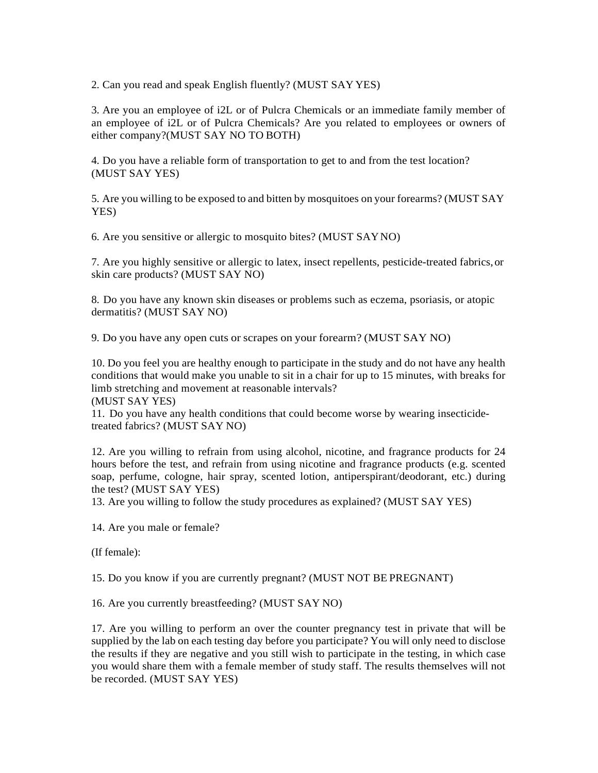2. Can you read and speak English fluently? (MUST SAY YES)

3. Are you an employee of i2L or of Pulcra Chemicals or an immediate family member of an employee of i2L or of Pulcra Chemicals? Are you related to employees or owners of either company?(MUST SAY NO TO BOTH)

4. Do you have a reliable form of transportation to get to and from the test location? (MUST SAY YES)

5. Are you willing to be exposed to and bitten by mosquitoes on your forearms? (MUST SAY YES)

6. Are you sensitive or allergic to mosquito bites? (MUST SAYNO)

7. Are you highly sensitive or allergic to latex, insect repellents, pesticide-treated fabrics,or skin care products? (MUST SAY NO)

8. Do you have any known skin diseases or problems such as eczema, psoriasis, or atopic dermatitis? (MUST SAY NO)

9. Do you have any open cuts or scrapes on your forearm? (MUST SAY NO)

10. Do you feel you are healthy enough to participate in the study and do not have any health conditions that would make you unable to sit in a chair for up to 15 minutes, with breaks for limb stretching and movement at reasonable intervals? (MUST SAY YES)

11. Do you have any health conditions that could become worse by wearing insecticide-

treated fabrics? (MUST SAY NO)

12. Are you willing to refrain from using alcohol, nicotine, and fragrance products for 24 hours before the test, and refrain from using nicotine and fragrance products (e.g. scented soap, perfume, cologne, hair spray, scented lotion, antiperspirant/deodorant, etc.) during the test? (MUST SAY YES)

13. Are you willing to follow the study procedures as explained? (MUST SAY YES)

14. Are you male or female?

(If female):

15. Do you know if you are currently pregnant? (MUST NOT BE PREGNANT)

16. Are you currently breastfeeding? (MUST SAY NO)

17. Are you willing to perform an over the counter pregnancy test in private that will be supplied by the lab on each testing day before you participate? You will only need to disclose the results if they are negative and you still wish to participate in the testing, in which case you would share them with a female member of study staff. The results themselves will not be recorded. (MUST SAY YES)